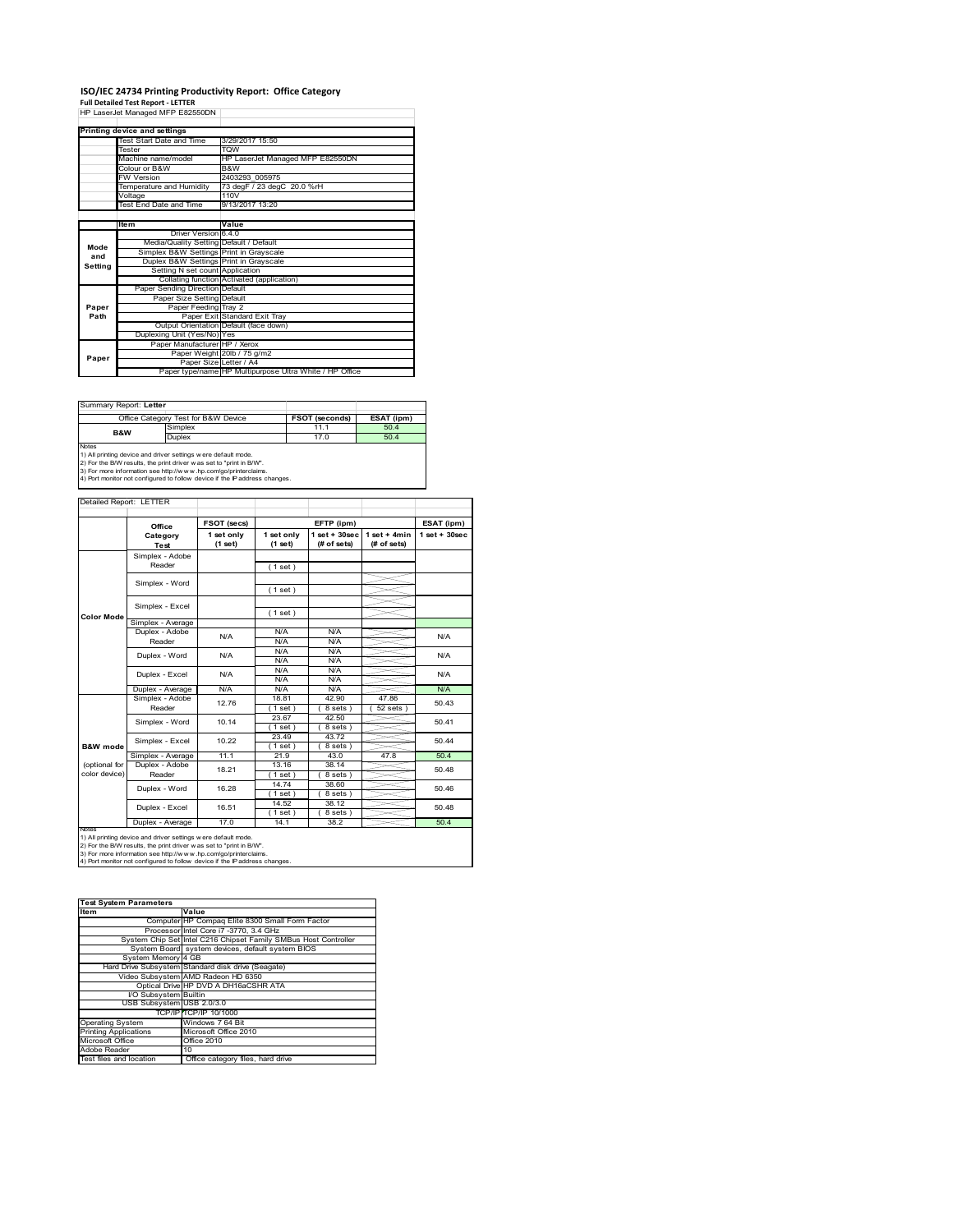### **ISO/IEC 24734 Printing Productivity Report: Office Category**

**Full Detailed Test Report ‐ LETTER** HP LaserJet Managed MFP E82550DN

|         | Printing device and settings            |                                                         |  |  |
|---------|-----------------------------------------|---------------------------------------------------------|--|--|
|         | Test Start Date and Time                | 3/29/2017 15:50                                         |  |  |
|         | Tester                                  | <b>TOW</b>                                              |  |  |
|         | Machine name/model                      | HP LaserJet Managed MFP E82550DN                        |  |  |
|         | Colour or B&W                           | B&W                                                     |  |  |
|         | <b>FW Version</b>                       | 2403293 005975                                          |  |  |
|         | Temperature and Humidity                | 73 degF / 23 degC 20.0 %rH                              |  |  |
|         | Voltage                                 | 110 <sub>V</sub>                                        |  |  |
|         | <b>Test End Date and Time</b>           | 9/13/2017 13:20                                         |  |  |
|         |                                         |                                                         |  |  |
|         | <b>Item</b>                             | Value                                                   |  |  |
|         | Driver Version 6.4.0                    |                                                         |  |  |
| Mode    | Media/Quality Setting Default / Default |                                                         |  |  |
| and     | Simplex B&W Settings Print in Grayscale |                                                         |  |  |
| Setting | Duplex B&W Settings Print in Grayscale  |                                                         |  |  |
|         | Setting N set count Application         |                                                         |  |  |
|         |                                         | Collating function Activated (application)              |  |  |
|         | Paper Sending Direction Default         |                                                         |  |  |
|         | Paper Size Setting Default              |                                                         |  |  |
| Paper   | Paper Feeding Tray 2                    |                                                         |  |  |
| Path    |                                         | Paper Exit Standard Exit Tray                           |  |  |
|         |                                         | Output Orientation Default (face down)                  |  |  |
|         | Duplexing Unit (Yes/No) Yes             |                                                         |  |  |
|         | Paper Manufacturer HP / Xerox           |                                                         |  |  |
| Paper   |                                         | Paper Weight 20lb / 75 g/m2                             |  |  |
|         | Paper Size Letter / A4                  |                                                         |  |  |
|         |                                         | Paper type/name HP Multipurpose Ultra White / HP Office |  |  |

Summary Report: **Letter**

| Office Category Test for B&W Device |                                                                            | <b>FSOT (seconds)</b> | ESAT (ipm) |  |
|-------------------------------------|----------------------------------------------------------------------------|-----------------------|------------|--|
| <b>B&amp;W</b>                      | Simplex                                                                    | 11.1                  | 50.4       |  |
|                                     | Duplex                                                                     | 17.0                  | 50.4       |  |
| Notes                               |                                                                            |                       |            |  |
|                                     | 1) All printing device and driver settings were default mode.              |                       |            |  |
|                                     | 2) For the B/W results, the print driver was set to "print in B/W".        |                       |            |  |
|                                     | 3) For more information see http://www.hp.com/go/printerclaims.            |                       |            |  |
|                                     | 4) Port monitor not configured to follow device if the IP address changes. |                       |            |  |

|                     | Office                                                                                                                                                                                                    | FSOT (secs)           |                       | EFTP (ipm)                        |                               | ESAT (ipm)        |
|---------------------|-----------------------------------------------------------------------------------------------------------------------------------------------------------------------------------------------------------|-----------------------|-----------------------|-----------------------------------|-------------------------------|-------------------|
|                     | Category<br><b>Test</b>                                                                                                                                                                                   | 1 set only<br>(1 set) | 1 set only<br>(1 set) | $1$ set + $30$ sec<br>(# of sets) | $1$ set + 4min<br>(# of sets) | $1$ set $+30$ sec |
|                     | Simplex - Adobe                                                                                                                                                                                           |                       |                       |                                   |                               |                   |
|                     | Reader                                                                                                                                                                                                    |                       | (1 set)               |                                   |                               |                   |
|                     | Simplex - Word                                                                                                                                                                                            |                       |                       |                                   |                               |                   |
|                     |                                                                                                                                                                                                           |                       | (1 set)               |                                   |                               |                   |
|                     | Simplex - Excel                                                                                                                                                                                           |                       |                       |                                   |                               |                   |
| <b>Color Mode</b>   |                                                                                                                                                                                                           |                       | (1 set)               |                                   |                               |                   |
|                     | Simplex - Average                                                                                                                                                                                         |                       |                       |                                   |                               |                   |
|                     | Duplex - Adobe                                                                                                                                                                                            | N/A                   | N/A                   | N/A                               |                               | N/A               |
|                     | Reader                                                                                                                                                                                                    |                       | N/A                   | N/A                               |                               |                   |
|                     | Duplex - Word                                                                                                                                                                                             | N/A                   | N/A                   | N/A                               |                               | N/A               |
|                     |                                                                                                                                                                                                           |                       | N/A                   | N/A                               |                               |                   |
|                     | Duplex - Excel                                                                                                                                                                                            | N/A                   | N/A<br>N/A            | N/A<br>N/A                        |                               | N/A               |
|                     | Duplex - Average                                                                                                                                                                                          | N/A                   | N/A                   | N/A                               |                               | N/A               |
|                     | Simplex - Adobe                                                                                                                                                                                           |                       | 18.81                 | 42.90                             | 47.86                         |                   |
|                     | Reader                                                                                                                                                                                                    | 12.76                 | $1$ set)              | 8 sets)                           | $52$ sets                     | 50.43             |
|                     |                                                                                                                                                                                                           | 10.14                 | 23.67                 | 42.50                             |                               | 50.41             |
|                     | Simplex - Word                                                                                                                                                                                            |                       | (1 set)               | 8 sets)                           |                               |                   |
|                     |                                                                                                                                                                                                           | 10.22                 | 23.49                 | 43.72                             |                               | 50.44             |
| <b>B&amp;W</b> mode | Simplex - Excel                                                                                                                                                                                           |                       | $1$ set)              | 8 sets)                           |                               |                   |
|                     | Simplex - Average                                                                                                                                                                                         | 11.1                  | 21.9                  | 43.0                              | 47.8                          | 50.4              |
| (optional for       | Duplex - Adobe                                                                                                                                                                                            | 18.21                 | 13.16                 | 38.14                             |                               | 50.48             |
| color device)       | Reader                                                                                                                                                                                                    |                       | $1$ set)              | $8 sets$ )                        |                               |                   |
|                     | Duplex - Word                                                                                                                                                                                             | 16.28                 | 14.74                 | 38.60                             |                               | 50.46             |
|                     |                                                                                                                                                                                                           |                       | (1 set)               | 8 sets)                           |                               |                   |
|                     | Duplex - Excel                                                                                                                                                                                            | 16.51                 | 14.52                 | 38.12                             |                               | 50.48             |
|                     |                                                                                                                                                                                                           |                       | $1$ set)              | $8 sets$ )                        |                               |                   |
| <b>NOtes</b>        | Duplex - Average                                                                                                                                                                                          | 17.0                  | 14.1                  | 38.2                              |                               | 50.4              |
|                     | 1) All printing device and driver settings w ere default mode.<br>2) For the B/W results, the print driver w as set to "print in B/W".<br>3) For more information see http://www.hp.com/go/printerclaims. |                       |                       |                                   |                               |                   |

| <b>Test System Parameters</b> |                                                                 |
|-------------------------------|-----------------------------------------------------------------|
| <b>Item</b>                   | Value                                                           |
|                               | Computer HP Compaq Elite 8300 Small Form Factor                 |
|                               | Processor Intel Core i7 -3770, 3.4 GHz                          |
|                               | System Chip Set Intel C216 Chipset Family SMBus Host Controller |
|                               | System Board system devices, default system BIOS                |
| System Memory 4 GB            |                                                                 |
|                               | Hard Drive Subsystem Standard disk drive (Seagate)              |
|                               | Video Subsystem AMD Radeon HD 6350                              |
|                               | Optical Drive HP DVD A DH16aCSHR ATA                            |
| I/O Subsystem Builtin         |                                                                 |
| USB Subsystem USB 2.0/3.0     |                                                                 |
|                               | TCP/IP TCP/IP 10/1000                                           |

| USB Subsystem USB 2.0/3.0    |                                   |
|------------------------------|-----------------------------------|
|                              | TCP/IP ITCP/IP 10/1000            |
| <b>Operating System</b>      | Windows 7 64 Bit                  |
| <b>Printing Applications</b> | Microsoft Office 2010             |
| Microsoft Office             | Office 2010                       |
| Adobe Reader                 | 10                                |
| Test files and location      | Office category files, hard drive |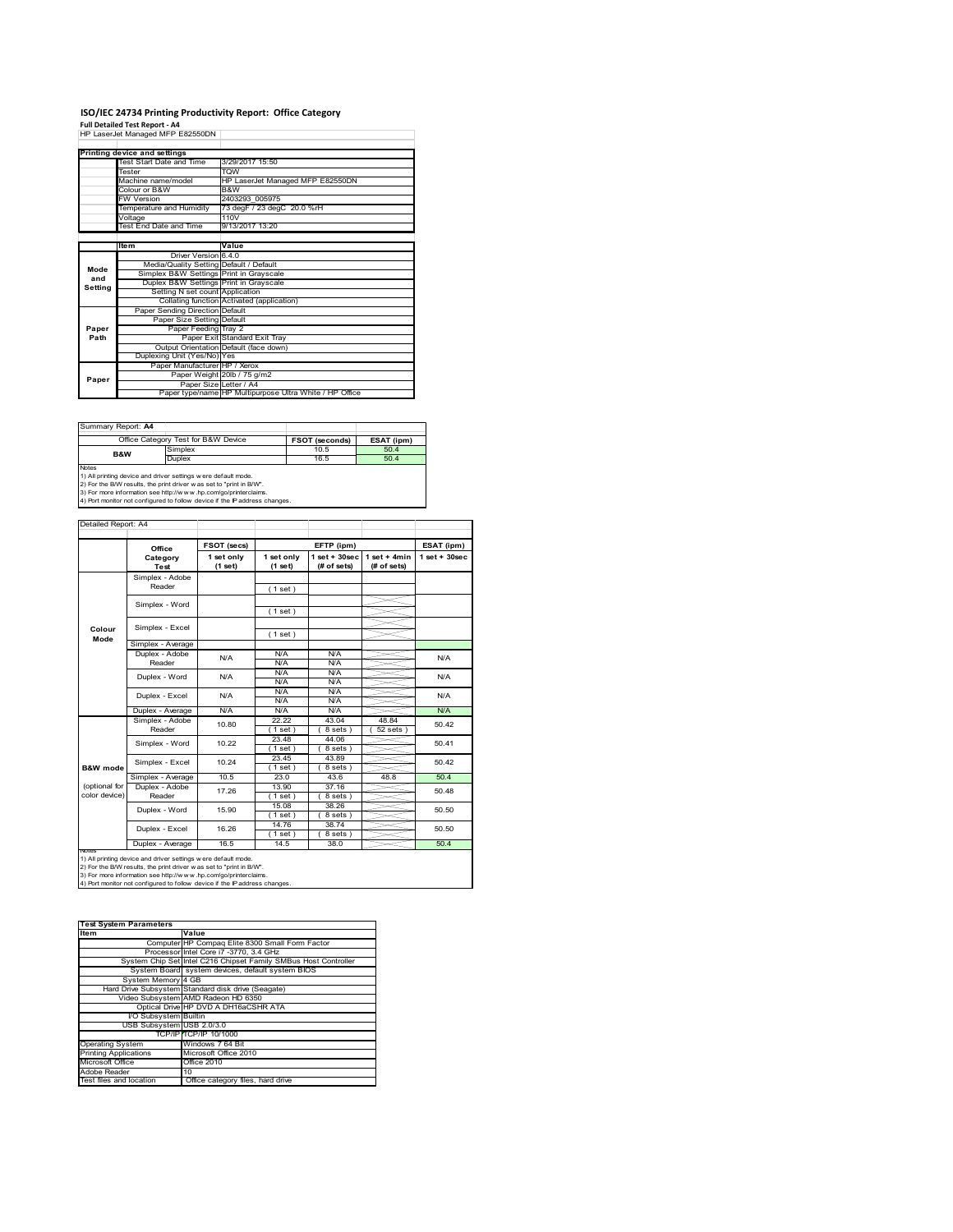# **ISO/IEC 24734 Printing Productivity Report: Office Category<br>Full Detailed Test Report - A4<br>HP LaserJet Managed MFP E82550DN |**

|         | Printing device and settings            |                                                         |  |  |
|---------|-----------------------------------------|---------------------------------------------------------|--|--|
|         | Test Start Date and Time                | 3/29/2017 15:50                                         |  |  |
|         | Tester                                  | <b>TQW</b>                                              |  |  |
|         | Machine name/model                      | HP LaserJet Managed MFP E82550DN                        |  |  |
|         | Colour or B&W                           | B&W                                                     |  |  |
|         | <b>FW Version</b>                       | 2403293 005975                                          |  |  |
|         | Temperature and Humidity                | 73 degF / 23 degC 20.0 %rH                              |  |  |
|         | Voltage                                 | 110V                                                    |  |  |
|         | Test End Date and Time                  | 9/13/2017 13:20                                         |  |  |
|         |                                         |                                                         |  |  |
|         | <b>Item</b>                             | Value                                                   |  |  |
|         | Driver Version 6.4.0                    |                                                         |  |  |
| Mode    | Media/Quality Setting Default / Default |                                                         |  |  |
| and     | Simplex B&W Settings Print in Grayscale |                                                         |  |  |
| Setting | Duplex B&W Settings Print in Grayscale  |                                                         |  |  |
|         | Setting N set count Application         |                                                         |  |  |
|         |                                         | Collating function Activated (application)              |  |  |
|         | Paper Sending Direction Default         |                                                         |  |  |
|         | Paper Size Setting Default              |                                                         |  |  |
| Paper   | Paper Feeding Tray 2                    |                                                         |  |  |
| Path    |                                         | Paper Exit Standard Exit Tray                           |  |  |
|         |                                         | Output Orientation Default (face down)                  |  |  |
|         | Duplexing Unit (Yes/No) Yes             |                                                         |  |  |
|         | Paper Manufacturer HP / Xerox           |                                                         |  |  |
| Paper   |                                         | Paper Weight 20lb / 75 g/m2                             |  |  |
|         | Paper Size Letter / A4                  |                                                         |  |  |
|         |                                         | Paper type/name HP Multipurpose Ultra White / HP Office |  |  |

Ī.

| Summary Report: A4                  |                                                                                                                                                                                                                                                                                         |                       |            |  |
|-------------------------------------|-----------------------------------------------------------------------------------------------------------------------------------------------------------------------------------------------------------------------------------------------------------------------------------------|-----------------------|------------|--|
| Office Category Test for B&W Device |                                                                                                                                                                                                                                                                                         | <b>FSOT (seconds)</b> | ESAT (ipm) |  |
| Simplex<br><b>B&amp;W</b>           |                                                                                                                                                                                                                                                                                         | 10.5                  | 50.4       |  |
|                                     | <b>Duplex</b>                                                                                                                                                                                                                                                                           | 16.5                  | 50.4       |  |
| <b>Notes</b>                        | 1) All printing device and driver settings w ere default mode.<br>2) For the B/W results, the print driver w as set to "print in B/W".<br>3) For more information see http://www.hp.com/go/printerclaims.<br>4) Port monitor not configured to follow device if the IP address changes. |                       |            |  |

Detailed Report: A4 Ţ 

|                     | FSOT (secs)<br>EFTP (ipm)<br>Office |                       |                          | ESAT (ipm)                      |                               |                  |
|---------------------|-------------------------------------|-----------------------|--------------------------|---------------------------------|-------------------------------|------------------|
|                     | Category<br><b>Test</b>             | 1 set only<br>(1 set) | 1 set only<br>(1 set)    | $1 set + 30 sec$<br>(# of sets) | $1$ set + 4min<br>(# of sets) | $1 set + 30 sec$ |
|                     | Simplex - Adobe<br>Reader           |                       |                          |                                 |                               |                  |
|                     |                                     |                       | (1 set)                  |                                 |                               |                  |
|                     | Simplex - Word                      |                       | (1 set)                  |                                 |                               |                  |
| Colour              | Simplex - Excel                     |                       |                          |                                 |                               |                  |
| Mode                | Simplex - Average                   |                       | (1 set)                  |                                 |                               |                  |
|                     | Duplex - Adobe                      |                       | <b>N/A</b>               | N/A                             |                               |                  |
|                     | Reader                              | N/A                   | N/A                      | N/A                             |                               | N/A              |
|                     | Duplex - Word                       | N/A                   | N/A                      | N/A                             |                               | N/A              |
|                     |                                     |                       | N/A                      | N/A                             |                               |                  |
|                     | Duplex - Excel                      | N/A                   | <b>N/A</b><br><b>N/A</b> | N/A<br>N/A                      |                               | N/A              |
|                     | Duplex - Average                    | N/A                   | <b>N/A</b>               | N/A                             |                               | N/A              |
|                     | Simplex - Adobe                     | 10.80                 | 22.22                    | 43.04                           | 48.84                         | 50.42            |
|                     | Reader                              |                       | (1 set)                  | $8 sets$ )                      | $52$ sets                     |                  |
|                     | Simplex - Word                      | 10.22                 | 23.48                    | 44.06                           |                               | 50.41            |
|                     |                                     |                       | (1 set )                 | 8 sets)                         |                               |                  |
|                     | Simplex - Excel                     | 10.24                 | 23.45                    | 43.89                           |                               | 50.42            |
| <b>B&amp;W</b> mode | Simplex - Average                   | 10.5                  | (1 set )<br>23.0         | 8 sets<br>43.6                  | 48.8                          | 50.4             |
| (optional for       | Duplex - Adobe                      |                       | 13.90                    | 37.16                           |                               |                  |
| color device)       | Reader                              | 17.26                 | 1 set                    | $8 sets$ )                      |                               | 50.48            |
|                     |                                     |                       | 15.08                    | 38.26                           |                               |                  |
|                     | Duplex - Word                       | 15.90                 | (1 set)                  | 8 sets)                         |                               | 50.50            |
|                     | Duplex - Excel                      | 16.26                 | 14.76                    | 38.74                           |                               | 50.50            |
|                     |                                     |                       | $1$ set)                 | $8 sets$ )                      |                               |                  |
|                     | Duplex - Average                    | 16.5                  | 14.5                     | 38.0                            |                               | 50.4             |

| <b>Test System Parameters</b> |                                                                 |
|-------------------------------|-----------------------------------------------------------------|
| Item                          | Value                                                           |
|                               | Computer HP Compaq Elite 8300 Small Form Factor                 |
|                               | Processor Intel Core i7 -3770, 3.4 GHz                          |
|                               | System Chip Set Intel C216 Chipset Family SMBus Host Controller |
|                               | System Board system devices, default system BIOS                |
| System Memory 4 GB            |                                                                 |
|                               | Hard Drive Subsystem Standard disk drive (Seagate)              |
|                               | Video Subsystem AMD Radeon HD 6350                              |
|                               | Optical Drive HP DVD A DH16aCSHR ATA                            |
| I/O Subsystem Builtin         |                                                                 |
| USB Subsystem USB 2.0/3.0     |                                                                 |
|                               | TCP/IP TCP/IP 10/1000                                           |
| <b>Operating System</b>       | Windows 7 64 Bit                                                |
| <b>Printing Applications</b>  | Microsoft Office 2010                                           |
| Microsoft Office              | Office 2010                                                     |
| Adobe Reader                  | 10                                                              |
| Test files and location       | Office category files, hard drive                               |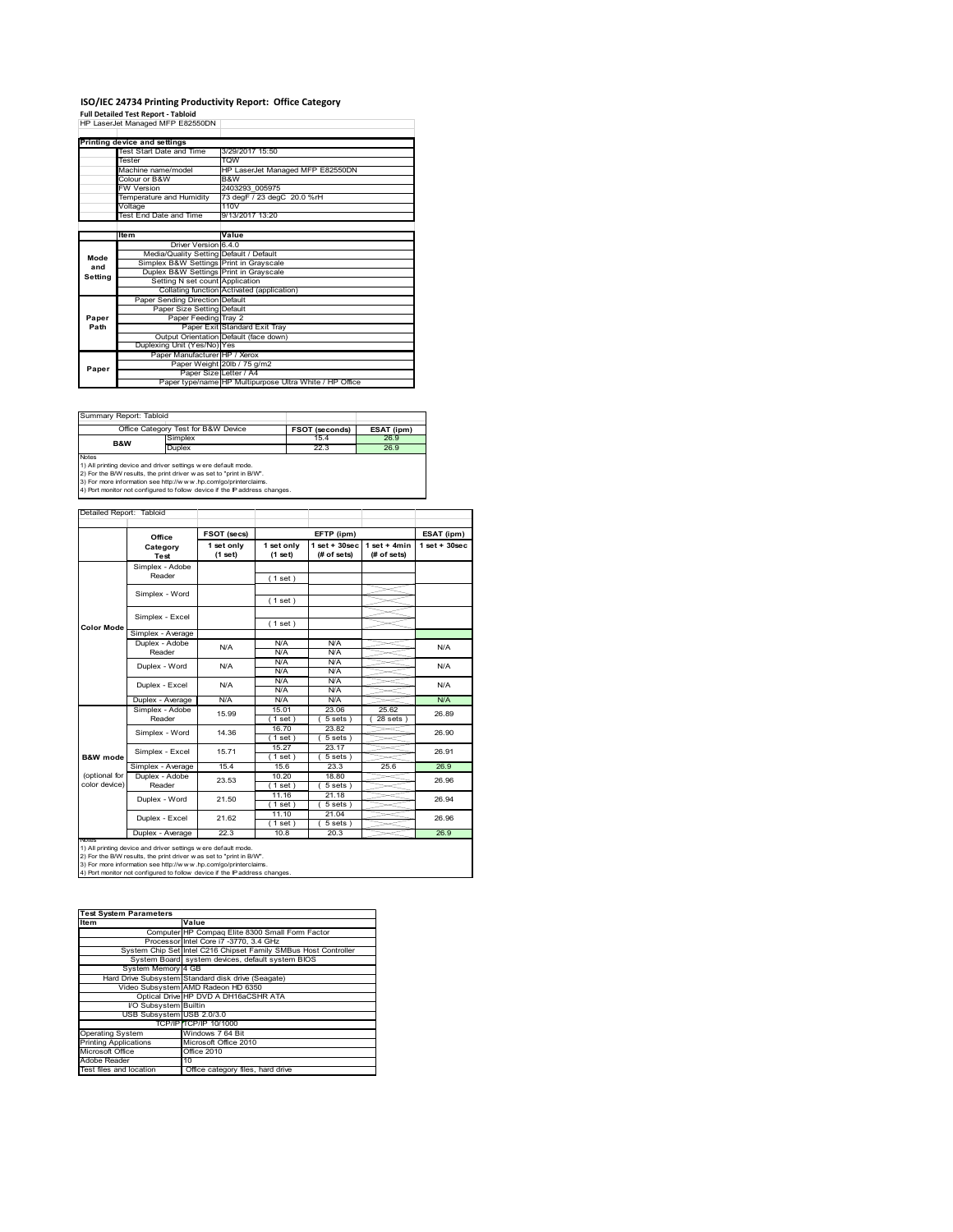# **ISO/IEC 24734 Printing Productivity Report: Office Category<br>Full Detailed Test Report - Tabloid<br>HP LaserJet Managed MFP E82550DN |**

|         | TIF LASCIJEL MANAGU MIFF LOZJJUDIN      |                                                         |  |  |
|---------|-----------------------------------------|---------------------------------------------------------|--|--|
|         | Printing device and settings            |                                                         |  |  |
|         | Test Start Date and Time                | 3/29/2017 15:50                                         |  |  |
|         | Tester                                  | <b>TOW</b>                                              |  |  |
|         | Machine name/model                      | HP LaserJet Managed MFP E82550DN                        |  |  |
|         | Colour or B&W                           | B&W                                                     |  |  |
|         | <b>FW Version</b>                       | 2403293 005975                                          |  |  |
|         | Temperature and Humidity                | 73 degF / 23 degC 20.0 %rH                              |  |  |
|         | Voltage                                 | 110V                                                    |  |  |
|         | Test End Date and Time                  | 9/13/2017 13:20                                         |  |  |
|         |                                         |                                                         |  |  |
|         | <b>Item</b>                             | Value                                                   |  |  |
|         | Driver Version 6.4.0                    |                                                         |  |  |
| Mode    | Media/Quality Setting Default / Default |                                                         |  |  |
| and     | Simplex B&W Settings Print in Grayscale |                                                         |  |  |
| Setting | Duplex B&W Settings Print in Grayscale  |                                                         |  |  |
|         | Setting N set count Application         |                                                         |  |  |
|         |                                         | Collating function Activated (application)              |  |  |
|         | Paper Sending Direction Default         |                                                         |  |  |
|         | Paper Size Setting Default              |                                                         |  |  |
| Paper   | Paper Feeding Tray 2                    |                                                         |  |  |
| Path    |                                         | Paper Exit Standard Exit Tray                           |  |  |
|         |                                         | Output Orientation Default (face down)                  |  |  |
|         | Duplexing Unit (Yes/No) Yes             |                                                         |  |  |
|         | Paper Manufacturer HP / Xerox           |                                                         |  |  |
| Paper   |                                         | Paper Weight 20lb / 75 g/m2                             |  |  |
|         |                                         | Paper Size Letter / A4                                  |  |  |
|         |                                         | Paper type/name HP Multipurpose Ultra White / HP Office |  |  |

Summary Re

|                | Office Category Test for B&W Device                           | <b>FSOT (seconds)</b> | ESAT (ipm) |
|----------------|---------------------------------------------------------------|-----------------------|------------|
| <b>B&amp;W</b> | Simplex                                                       | 15.4                  | 26.9       |
|                | Duplex                                                        | 22.3                  | 26.9       |
| <b>Notes</b>   |                                                               |                       |            |
|                | 1) All printing device and driver settings were default mode. |                       |            |

1) All printing device and driver settings were default mode.<br>2) For the B/W results, the print driver was set to "print in B/W".<br>3) For more information see http://www.hp.com/go/printerclaims.<br>4) Port monitor not configur

|                                | Office                    | FSOT (secs)           |                       | EFTP (ipm)                       |                               | ESAT (ipm)         |
|--------------------------------|---------------------------|-----------------------|-----------------------|----------------------------------|-------------------------------|--------------------|
|                                | Category<br>Test          | 1 set only<br>(1 set) | 1 set only<br>(1 set) | $1$ set $+30$ sec<br>(# of sets) | $1$ set + 4min<br>(# of sets) | $1$ set + $30$ sec |
|                                | Simplex - Adobe<br>Reader |                       | (1 set)               |                                  |                               |                    |
|                                | Simplex - Word            |                       | (1 set)               |                                  |                               |                    |
|                                | Simplex - Excel           |                       |                       |                                  |                               |                    |
| <b>Color Mode</b>              | Simplex - Average         |                       | (1 set)               |                                  |                               |                    |
|                                | Duplex - Adobe<br>Reader  | N/A                   | N/A<br>N/A            | N/A<br>N/A                       |                               | N/A                |
|                                | Duplex - Word             | N/A                   | N/A<br>N/A            | N/A<br>N/A                       |                               | N/A                |
|                                | Duplex - Excel            | N/A                   | N/A<br>N/A            | N/A<br>N/A                       |                               | N/A                |
|                                | Duplex - Average          | N/A                   | N/A                   | N/A                              |                               | N/A                |
|                                | Simplex - Adobe<br>Reader | 15.99                 | 15.01<br>$1$ set)     | 23.06<br>$5 sets$ )              | 25.62<br>$28$ sets $)$        | 26.89              |
|                                | Simplex - Word            | 14.36                 | 16.70<br>$1$ set)     | 23.82<br>$5 sets$ )              |                               | 26.90              |
| B&W mode                       | Simplex - Excel           | 15.71                 | 15.27<br>$1$ set)     | 23.17<br>$5 sets$ )              |                               | 26.91              |
|                                | Simplex - Average         | 15.4                  | 15.6                  | 23.3                             | 25.6                          | 26.9               |
| (optional for<br>color device) | Duplex - Adobe<br>Reader  | 23.53                 | 10.20<br>$1$ set)     | 18.80<br>$5 sets$ )              |                               | 26.96              |
|                                | Duplex - Word             | 21.50                 | 11.16<br>$1$ set)     | 21.18<br>$5 sets$ )              |                               | 26.94              |
|                                | Duplex - Excel            | 21.62                 | 11.10<br>$1$ set)     | 21.04<br>5 sets)                 |                               | 26.96              |
|                                | Duplex - Average          | 22.3                  | 10.8                  | 20.3                             |                               | 26.9               |

1) All printing device and driver settings were default mode.<br>2) For the B/W results, the print driver was set to "print in B/W".<br>3) For more information see http://www.hp.com/go/printerclaims.<br>4) Port monitor not configur

| <b>Test System Parameters</b> |                                                                 |
|-------------------------------|-----------------------------------------------------------------|
| Item                          | Value                                                           |
|                               | Computer HP Compaq Elite 8300 Small Form Factor                 |
|                               | Processor Intel Core i7 -3770, 3.4 GHz                          |
|                               | System Chip Set Intel C216 Chipset Family SMBus Host Controller |
|                               | System Board system devices, default system BIOS                |
| System Memory 4 GB            |                                                                 |
|                               | Hard Drive Subsystem Standard disk drive (Seagate)              |
|                               | Video Subsystem AMD Radeon HD 6350                              |
|                               | Optical Drive HP DVD A DH16aCSHR ATA                            |
| I/O Subsystem Builtin         |                                                                 |
| USB Subsystem USB 2.0/3.0     |                                                                 |
|                               | TCP/IP TCP/IP 10/1000                                           |
| <b>Operating System</b>       | Windows 7 64 Bit                                                |
| <b>Printing Applications</b>  | Microsoft Office 2010                                           |
| Microsoft Office              | Office 2010                                                     |
| Adobe Reader                  | 10                                                              |
| Test files and location       | Office category files, hard drive                               |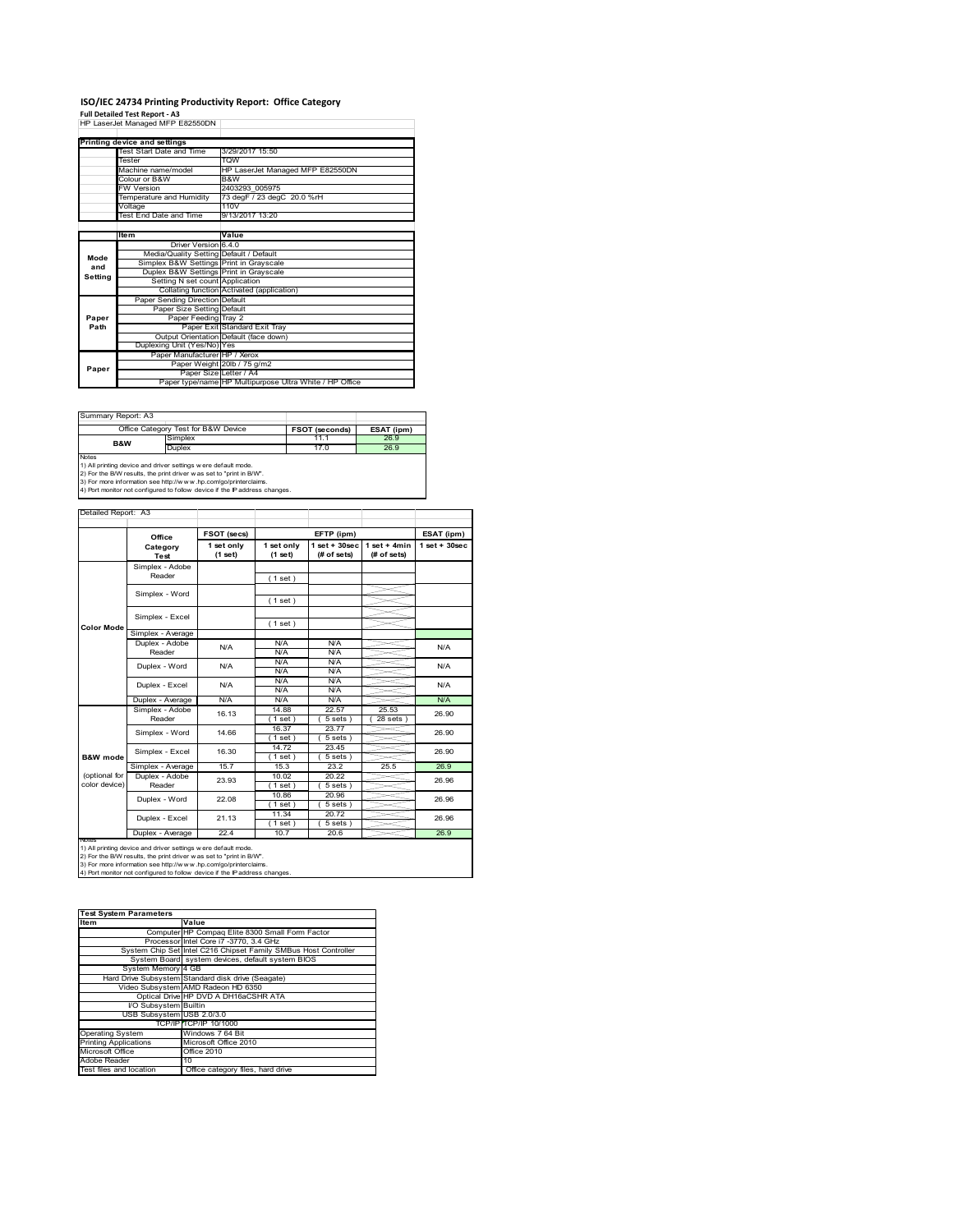# **ISO/IEC 24734 Printing Productivity Report: Office Category<br>Full Detailed Test Report - A3<br>HP LaserJet Managed MFP E82550DN |**

|         | TIF LASCIJEL MANAGU MIFF LOZJJUDIN      |                                                         |
|---------|-----------------------------------------|---------------------------------------------------------|
|         | Printing device and settings            |                                                         |
|         | Test Start Date and Time                | 3/29/2017 15:50                                         |
|         | Tester                                  | <b>VICT</b>                                             |
|         |                                         |                                                         |
|         | Machine name/model                      | HP LaserJet Managed MFP E82550DN                        |
|         | Colour or B&W                           | B&W                                                     |
|         | <b>FW Version</b>                       | 2403293 005975                                          |
|         | Temperature and Humidity                | 73 degF / 23 degC 20.0 %rH                              |
|         | Voltage                                 | 110V                                                    |
|         | Test End Date and Time                  | 9/13/2017 13:20                                         |
|         |                                         |                                                         |
|         | <b>Item</b>                             | Value                                                   |
|         | Driver Version 6.4.0                    |                                                         |
| Mode    | Media/Quality Setting Default / Default |                                                         |
| and     | Simplex B&W Settings Print in Grayscale |                                                         |
| Setting | Duplex B&W Settings Print in Grayscale  |                                                         |
|         | Setting N set count Application         |                                                         |
|         |                                         | Collating function Activated (application)              |
|         | Paper Sending Direction Default         |                                                         |
|         | Paper Size Setting Default              |                                                         |
| Paper   | Paper Feeding Tray 2                    |                                                         |
| Path    |                                         | Paper Exit Standard Exit Tray                           |
|         |                                         | Output Orientation Default (face down)                  |
|         | Duplexing Unit (Yes/No) Yes             |                                                         |
|         | Paper Manufacturer HP / Xerox           |                                                         |
| Paper   |                                         | Paper Weight 20lb / 75 g/m2                             |
|         |                                         | Paper Size Letter / A4                                  |
|         |                                         | Paper type/name HP Multipurpose Ultra White / HP Office |

Summary Report: A3

|                | Office Category Test for B&W Device                            | <b>FSOT (seconds)</b> | ESAT (ipm) |
|----------------|----------------------------------------------------------------|-----------------------|------------|
| <b>B&amp;W</b> | Simplex                                                        | 11.1                  | 26.9       |
|                | Duplex                                                         | 17.0                  | 26.9       |
| <b>Notes</b>   |                                                                |                       |            |
|                | 1) All printing device and driver settings w ere default mode. |                       |            |

1) All printing device and driver settings were default mode.<br>2) For the B/W results, the print driver was set to "print in B/W".<br>3) For more information see http://www.hp.com/go/printerclaims.<br>4) Port monitor not configur

|  | y, rorrmome, norcomigated to rollow device it are it address change |  |  |  |
|--|---------------------------------------------------------------------|--|--|--|
|  |                                                                     |  |  |  |
|  |                                                                     |  |  |  |

|                                | Office                    | FSOT (secs)           |                       | EFTP (ipm)                      |                                | ESAT (ipm)      |
|--------------------------------|---------------------------|-----------------------|-----------------------|---------------------------------|--------------------------------|-----------------|
|                                | Category<br><b>Test</b>   | 1 set only<br>(1 set) | 1 set only<br>(1 set) | $1 set + 30 sec$<br>(# of sets) | $1 set + 4 min$<br>(# of sets) | $1$ set + 30sec |
|                                | Simplex - Adobe<br>Reader |                       | (1 set)               |                                 |                                |                 |
|                                | Simplex - Word            |                       | (1 set)               |                                 |                                |                 |
|                                | Simplex - Excel           |                       | (1 set)               |                                 |                                |                 |
| <b>Color Mode</b>              | Simplex - Average         |                       |                       |                                 |                                |                 |
|                                | Duplex - Adobe<br>Reader  | N/A                   | N/A<br>N/A            | N/A<br>N/A                      |                                | N/A             |
|                                | Duplex - Word             | N/A                   | N/A<br>N/A            | N/A<br>N/A                      |                                | N/A             |
|                                | Duplex - Excel            | N/A                   | N/A<br>N/A            | N/A<br>N/A                      |                                | N/A             |
|                                | Duplex - Average          | N/A                   | N/A                   | N/A                             |                                | N/A             |
|                                | Simplex - Adobe<br>Reader | 16.13                 | 14.88<br>$1$ set)     | 22.57<br>$5 sets$ )             | 25.53<br>$28$ sets $)$         | 26.90           |
|                                | Simplex - Word            | 14.66                 | 16.37<br>$1$ set)     | 23.77<br>$5 sets$ )             |                                | 26.90           |
| B&W mode                       | Simplex - Excel           | 16.30                 | 14.72<br>$1$ set)     | 23.45<br>$5 sets$ )             |                                | 26.90           |
|                                | Simplex - Average         | 15.7                  | 15.3                  | 23.2                            | 25.5                           | 26.9            |
| (optional for<br>color device) | Duplex - Adobe<br>Reader  | 23.93                 | 10.02<br>$1$ set $)$  | 20.22<br>$5 sets$ )             |                                | 26.96           |
|                                | Duplex - Word             | 22.08                 | 10.86<br>(1 set)      | 20.96<br>$5 sets$ )             |                                | 26.96           |
|                                | Duplex - Excel            | 21.13                 | 11.34<br>$1$ set)     | 20.72<br>5 sets)                |                                | 26.96           |
|                                | Duplex - Average          | 22.4                  | 10.7                  | 20.6                            |                                | 26.9            |

1) All printing device and driver settings were default mode.<br>2) For the B/W results, the print driver was set to "print in B/W".<br>3) For more information see http://www.hp.com/go/printerclaims.<br>4) Port monitor not configur

| <b>Test System Parameters</b> |                                                                 |
|-------------------------------|-----------------------------------------------------------------|
| Item                          | Value                                                           |
|                               | Computer HP Compaq Elite 8300 Small Form Factor                 |
|                               | Processor Intel Core i7 -3770, 3.4 GHz                          |
|                               | System Chip Set Intel C216 Chipset Family SMBus Host Controller |
|                               | System Board system devices, default system BIOS                |
| System Memory 4 GB            |                                                                 |
|                               | Hard Drive Subsystem Standard disk drive (Seagate)              |
|                               | Video Subsystem AMD Radeon HD 6350                              |
|                               | Optical Drive HP DVD A DH16aCSHR ATA                            |
| I/O Subsystem Builtin         |                                                                 |
| USB Subsystem USB 2.0/3.0     |                                                                 |
|                               | TCP/IP TCP/IP 10/1000                                           |
| <b>Operating System</b>       | Windows 7 64 Bit                                                |
| <b>Printing Applications</b>  | Microsoft Office 2010                                           |
| Microsoft Office              | Office 2010                                                     |
| Adobe Reader                  | 10                                                              |
| Test files and location       | Office category files, hard drive                               |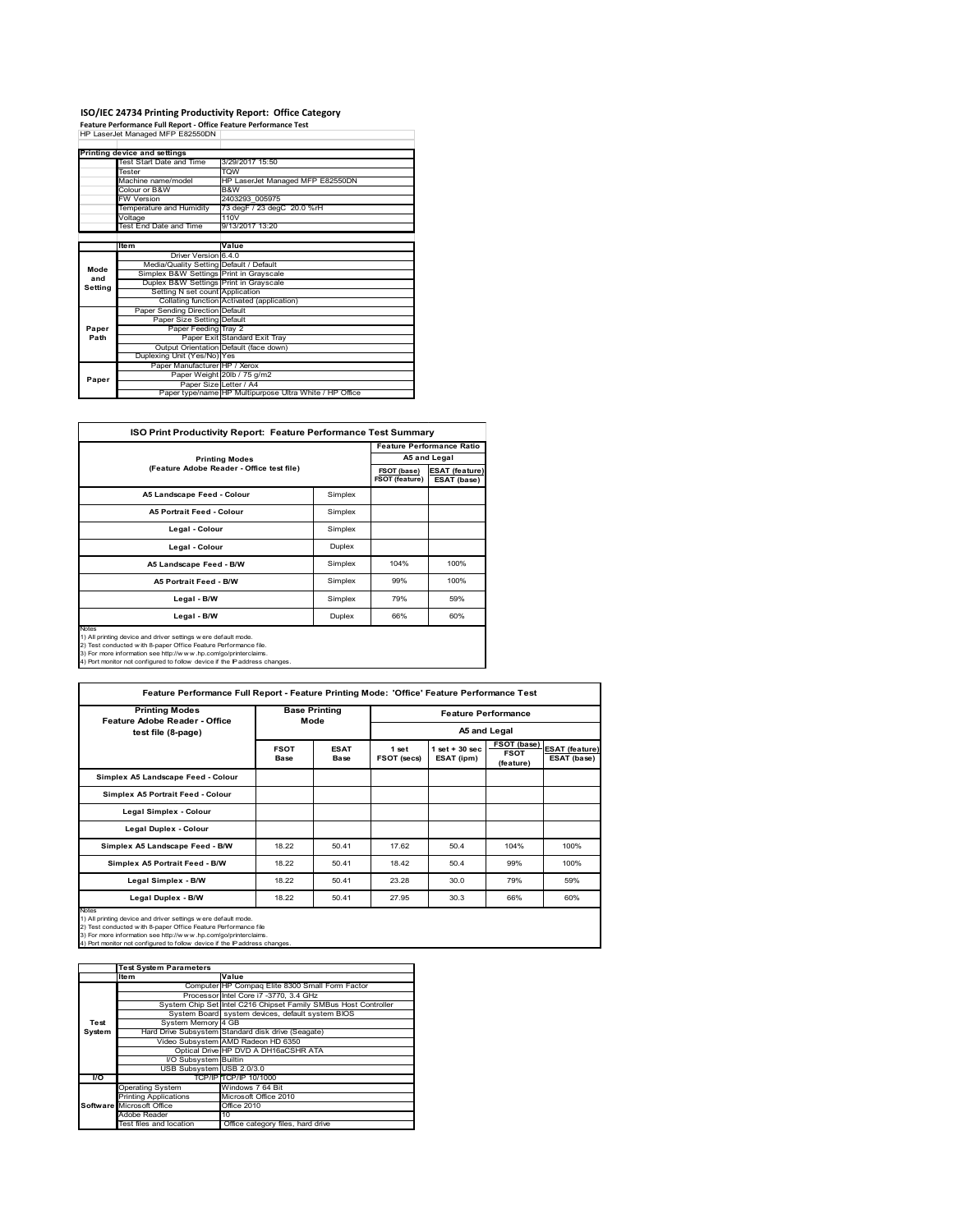## **ISO/IEC 24734 Printing Productivity Report: Office Category<br>Feature Performance Full Report - Office Feature Performance Test<br>HP LaserJet Managed MFP E82550DN |**

|         | Printing device and settings            |                                                         |
|---------|-----------------------------------------|---------------------------------------------------------|
|         | Test Start Date and Time                | 3/29/2017 15:50                                         |
|         | Tester                                  | <b>TOW</b>                                              |
|         | Machine name/model                      | HP LaserJet Managed MFP E82550DN                        |
|         | Colour or B&W                           | B&W                                                     |
|         | <b>FW Version</b>                       | 2403293 005975                                          |
|         | Temperature and Humidity                | 73 degF / 23 degC 20.0 %rH                              |
|         | Voltage                                 | 110 <sub>V</sub>                                        |
|         | Test End Date and Time                  | 9/13/2017 13:20                                         |
|         |                                         |                                                         |
|         | <b>Item</b>                             | Value                                                   |
|         | Driver Version 6.4.0                    |                                                         |
| Mode    | Media/Quality Setting Default / Default |                                                         |
| and     | Simplex B&W Settings Print in Grayscale |                                                         |
| Setting | Duplex B&W Settings Print in Grayscale  |                                                         |
|         | Setting N set count Application         |                                                         |
|         |                                         | Collating function Activated (application)              |
|         | Paper Sending Direction Default         |                                                         |
|         | Paper Size Setting Default              |                                                         |
| Paper   | Paper Feeding Tray 2                    |                                                         |
| Path    |                                         | Paper Exit Standard Exit Tray                           |
|         |                                         | Output Orientation Default (face down)                  |
|         | Duplexing Unit (Yes/No) Yes             |                                                         |
|         | Paper Manufacturer HP / Xerox           |                                                         |
| Paper   |                                         | Paper Weight 20lb / 75 g/m2                             |
|         | Paper Size Letter / A4                  |                                                         |
|         |                                         | Paper type/name HP Multipurpose Ultra White / HP Office |

| <b>ISO Print Productivity Report: Feature Performance Test Summary</b>                                                                                                                                                                                                                             |         |                                      |                                      |
|----------------------------------------------------------------------------------------------------------------------------------------------------------------------------------------------------------------------------------------------------------------------------------------------------|---------|--------------------------------------|--------------------------------------|
|                                                                                                                                                                                                                                                                                                    |         |                                      | <b>Feature Performance Ratio</b>     |
| <b>Printing Modes</b>                                                                                                                                                                                                                                                                              |         |                                      | A5 and Legal                         |
| (Feature Adobe Reader - Office test file)                                                                                                                                                                                                                                                          |         | FSOT (base)<br><b>FSOT (feature)</b> | <b>ESAT (feature)</b><br>ESAT (base) |
| A5 Landscape Feed - Colour                                                                                                                                                                                                                                                                         | Simplex |                                      |                                      |
| <b>A5 Portrait Feed - Colour</b>                                                                                                                                                                                                                                                                   | Simplex |                                      |                                      |
| Legal - Colour                                                                                                                                                                                                                                                                                     | Simplex |                                      |                                      |
| Legal - Colour                                                                                                                                                                                                                                                                                     | Duplex  |                                      |                                      |
| A5 Landscape Feed - B/W                                                                                                                                                                                                                                                                            | Simplex | 104%                                 | 100%                                 |
| <b>A5 Portrait Feed - B/W</b>                                                                                                                                                                                                                                                                      | Simplex | 99%                                  | 100%                                 |
| Legal - B/W                                                                                                                                                                                                                                                                                        | Simplex | 79%                                  | 59%                                  |
| Legal - B/W                                                                                                                                                                                                                                                                                        | Duplex  | 66%                                  | 60%                                  |
| <b>Notes</b><br>1) All printing device and driver settings w ere default mode.<br>2) Test conducted with 8-paper Office Feature Performance file.<br>3) For more information see http://www.hp.com/go/printerclaims.<br>4) Port monitor not configured to follow device if the IP address changes. |         |                                      |                                      |

| Feature Performance Full Report - Feature Printing Mode: 'Office' Feature Performance Test                                                                                                                                                                                                       |                     |                              |                      |                                |                                         |                                      |
|--------------------------------------------------------------------------------------------------------------------------------------------------------------------------------------------------------------------------------------------------------------------------------------------------|---------------------|------------------------------|----------------------|--------------------------------|-----------------------------------------|--------------------------------------|
| <b>Printing Modes</b><br>Feature Adobe Reader - Office                                                                                                                                                                                                                                           |                     | <b>Base Printing</b><br>Mode |                      | <b>Feature Performance</b>     |                                         |                                      |
| test file (8-page)                                                                                                                                                                                                                                                                               |                     |                              |                      | A5 and Legal                   |                                         |                                      |
|                                                                                                                                                                                                                                                                                                  | <b>FSOT</b><br>Base | <b>ESAT</b><br>Base          | 1 set<br>FSOT (secs) | $1$ set + 30 sec<br>ESAT (ipm) | FSOT (base)<br><b>FSOT</b><br>(feature) | <b>ESAT (feature)</b><br>ESAT (base) |
| Simplex A5 Landscape Feed - Colour                                                                                                                                                                                                                                                               |                     |                              |                      |                                |                                         |                                      |
| Simplex A5 Portrait Feed - Colour                                                                                                                                                                                                                                                                |                     |                              |                      |                                |                                         |                                      |
| Legal Simplex - Colour                                                                                                                                                                                                                                                                           |                     |                              |                      |                                |                                         |                                      |
| Legal Duplex - Colour                                                                                                                                                                                                                                                                            |                     |                              |                      |                                |                                         |                                      |
| Simplex A5 Landscape Feed - B/W                                                                                                                                                                                                                                                                  | 18.22               | 50.41                        | 17.62                | 50.4                           | 104%                                    | 100%                                 |
| Simplex A5 Portrait Feed - B/W                                                                                                                                                                                                                                                                   | 18.22               | 50.41                        | 18.42                | 50.4                           | 99%                                     | 100%                                 |
| Legal Simplex - B/W                                                                                                                                                                                                                                                                              | 18.22               | 50.41                        | 23.28                | 30.0                           | 79%                                     | 59%                                  |
| Legal Duplex - B/W                                                                                                                                                                                                                                                                               | 18.22               | 50.41                        | 27.95                | 30.3                           | 66%                                     | 60%                                  |
| <b>Notes</b><br>1) All printing device and driver settings were default mode.<br>2) Test conducted with 8-paper Office Feature Performance file<br>3) For more information see http://www.hp.com/go/printerclaims.<br>4) Port monitor not configured to follow device if the IP address changes. |                     |                              |                      |                                |                                         |                                      |

|        | <b>Test System Parameters</b> |                                                                 |
|--------|-------------------------------|-----------------------------------------------------------------|
|        | Item                          | Value                                                           |
|        |                               | Computer HP Compaq Elite 8300 Small Form Factor                 |
|        |                               | Processor Intel Core i7 -3770, 3.4 GHz                          |
|        |                               | System Chip Set Intel C216 Chipset Family SMBus Host Controller |
|        |                               | System Board system devices, default system BIOS                |
| Test   | System Memory 4 GB            |                                                                 |
| System |                               | Hard Drive Subsystem Standard disk drive (Seagate)              |
|        |                               | Video Subsystem AMD Radeon HD 6350                              |
|        |                               | Optical Drive HP DVD A DH16aCSHR ATA                            |
|        | <b>VO Subsystem Builtin</b>   |                                                                 |
|        | USB Subsystem USB 2.0/3.0     |                                                                 |
| l/O    |                               | TCP/IP TCP/IP 10/1000                                           |
|        | <b>Operating System</b>       | Windows 7 64 Bit                                                |
|        | <b>Printing Applications</b>  | Microsoft Office 2010                                           |
|        | Software Microsoft Office     | Office 2010                                                     |
|        | Adobe Reader                  | 10                                                              |
|        | Test files and location       | Office category files, hard drive                               |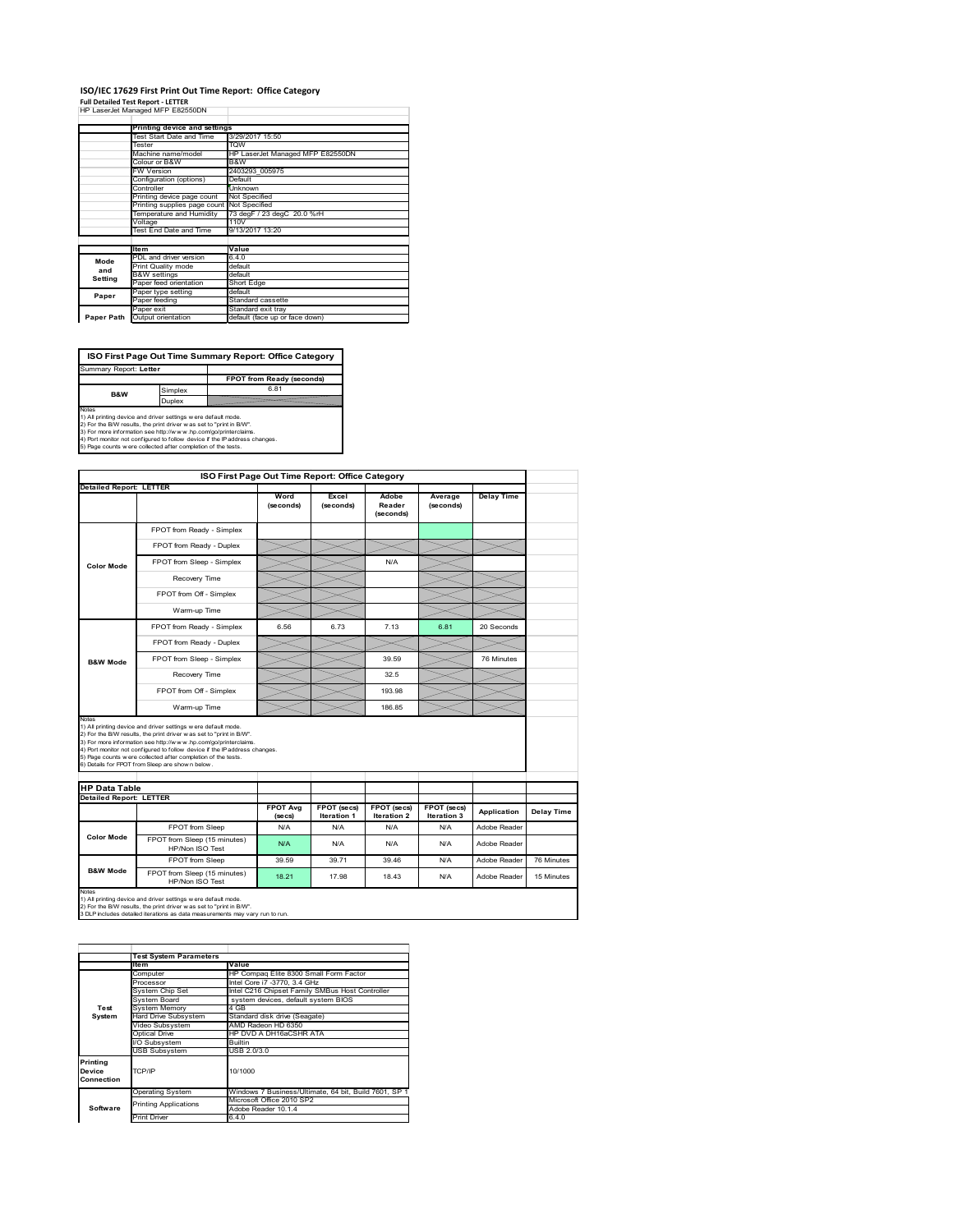### **ISO/IEC 17629 First Print Out Time Report: Office Category Full Detailed Test Report ‐ LETTER** HP LaserJet Managed MFP E82550DN

|            | III Lasciuctivianaged IVIII LUZUUUDIV |                                  |
|------------|---------------------------------------|----------------------------------|
|            | Printing device and settings          |                                  |
|            | Test Start Date and Time              | 3/29/2017 15:50                  |
|            | Tester                                | <b>TOW</b>                       |
|            | Machine name/model                    | HP LaserJet Managed MFP E82550DN |
|            | Colour or B&W                         | B&W                              |
|            | <b>FW Version</b>                     | 2403293_005975                   |
|            | Configuration (options)               | Default                          |
|            | Controller                            | Unknown                          |
|            | Printing device page count            | Not Specified                    |
|            | Printing supplies page count          | Not Specified                    |
|            | Temperature and Humidity              | 73 degF / 23 degC 20.0 %rH       |
|            | Voltage                               | 110V                             |
|            | Test End Date and Time                | 9/13/2017 13:20                  |
|            |                                       |                                  |
|            | <b>Item</b>                           | Value                            |
| Mode       | PDL and driver version                | 6.4.0                            |
| and        | Print Quality mode                    | default                          |
| Setting    | <b>B&amp;W</b> settings               | default                          |
|            | Paper feed orientation                | Short Edge                       |
| Paper      | Paper type setting                    | default                          |
|            | Paper feeding                         | Standard cassette                |
|            | Paper exit                            | Standard exit tray               |
| Paper Path | Output orientation                    | default (face up or face down)   |

**ISO First Page Out Time Summary Report: Office Category** Summary Report: **Letter**

**FPOT from Ready (seconds)**<br>
Simplex 6.81 **B&W**

**Duplex**<br>
Notes<br>
1) All printing device and driver settings were default mode.<br>
2) For the BM reaults, the print driver was set to "print in BM".<br>
4) For more information see http://www.hp.com/golprinterclaims.<br>
4) Port mo

|                                                        |                                                                                                                                                                                                                                                                                                                                                                                                             | ISO First Page Out Time Report: Office Category |                                          |                                   |                            |                   |            |
|--------------------------------------------------------|-------------------------------------------------------------------------------------------------------------------------------------------------------------------------------------------------------------------------------------------------------------------------------------------------------------------------------------------------------------------------------------------------------------|-------------------------------------------------|------------------------------------------|-----------------------------------|----------------------------|-------------------|------------|
| <b>Detailed Report: LETTER</b>                         |                                                                                                                                                                                                                                                                                                                                                                                                             |                                                 |                                          |                                   |                            |                   |            |
|                                                        |                                                                                                                                                                                                                                                                                                                                                                                                             | Word<br>(seconds)                               | Excel<br>(seconds)                       | Adobe<br>Reader<br>(seconds)      | Average<br>(seconds)       | <b>Delay Time</b> |            |
|                                                        | FPOT from Ready - Simplex                                                                                                                                                                                                                                                                                                                                                                                   |                                                 |                                          |                                   |                            |                   |            |
|                                                        | FPOT from Ready - Duplex                                                                                                                                                                                                                                                                                                                                                                                    |                                                 |                                          |                                   |                            |                   |            |
| <b>Color Mode</b>                                      | FPOT from Sleep - Simplex                                                                                                                                                                                                                                                                                                                                                                                   |                                                 |                                          | N/A                               |                            |                   |            |
|                                                        | Recovery Time                                                                                                                                                                                                                                                                                                                                                                                               |                                                 |                                          |                                   |                            |                   |            |
|                                                        | FPOT from Off - Simplex                                                                                                                                                                                                                                                                                                                                                                                     |                                                 |                                          |                                   |                            |                   |            |
|                                                        | Warm-up Time                                                                                                                                                                                                                                                                                                                                                                                                |                                                 |                                          |                                   |                            |                   |            |
|                                                        | FPOT from Ready - Simplex                                                                                                                                                                                                                                                                                                                                                                                   | 6.56                                            | 6.73                                     | 7 13                              | 6.81                       | 20 Seconds        |            |
|                                                        | FPOT from Ready - Duplex                                                                                                                                                                                                                                                                                                                                                                                    |                                                 |                                          |                                   |                            |                   |            |
| <b>B&amp;W Mode</b>                                    | FPOT from Sleep - Simplex                                                                                                                                                                                                                                                                                                                                                                                   |                                                 |                                          | 39.59                             |                            | 76 Minutes        |            |
|                                                        | Recovery Time                                                                                                                                                                                                                                                                                                                                                                                               |                                                 |                                          | 32.5                              |                            |                   |            |
|                                                        |                                                                                                                                                                                                                                                                                                                                                                                                             |                                                 |                                          |                                   |                            |                   |            |
|                                                        | FPOT from Off - Simplex                                                                                                                                                                                                                                                                                                                                                                                     |                                                 |                                          | 193.98                            |                            |                   |            |
| Notes                                                  | Warm-up Time                                                                                                                                                                                                                                                                                                                                                                                                |                                                 |                                          | 186.85                            |                            |                   |            |
|                                                        | 1) All printing device and driver settings w ere default mode.<br>2) For the B/W results, the print driver was set to "print in B/W".<br>3) For more information see http://www.hp.com/go/printerclaims.<br>4) Port monitor not configured to follow device if the IP address changes.<br>5) Page counts w ere collected after completion of the tests.<br>6) Details for FPOT from Sleep are show n below. |                                                 |                                          |                                   |                            |                   |            |
|                                                        |                                                                                                                                                                                                                                                                                                                                                                                                             | <b>FPOT Ava</b><br>(se cs)                      | <b>FPOT</b> (secs)<br><b>Iteration 1</b> | FPOT (secs)<br><b>Iteration 2</b> | FPOT (secs)<br>Iteration 3 | Application       | Delay Time |
| <b>HP Data Table</b><br><b>Detailed Report: LETTER</b> | FPOT from Sleep                                                                                                                                                                                                                                                                                                                                                                                             | N/A                                             | N/A                                      | N/A                               | N/A                        | Adobe Reader      |            |
| <b>Color Mode</b>                                      | FPOT from Sleep (15 minutes)<br>HP/Non ISO Test                                                                                                                                                                                                                                                                                                                                                             | N/A                                             | N/A                                      | N/A                               | N/A                        | Adobe Reader      |            |
| <b>B&amp;W Mode</b>                                    | FPOT from Sleep                                                                                                                                                                                                                                                                                                                                                                                             | 39.59                                           | 39.71                                    | 39.46                             | N/A                        | Adobe Reader      | 76 Minutes |

|                                                       | <b>Test System Parameters</b> |                                                       |  |
|-------------------------------------------------------|-------------------------------|-------------------------------------------------------|--|
|                                                       | <b>Item</b>                   | Value                                                 |  |
|                                                       | Computer                      | HP Compag Elite 8300 Small Form Factor                |  |
|                                                       | Processor                     | Intel Core i7 -3770, 3.4 GHz                          |  |
|                                                       | System Chip Set               | Intel C216 Chipset Family SMBus Host Controller       |  |
|                                                       | System Board                  | system devices, default system BIOS                   |  |
| Test                                                  | <b>System Memory</b>          | 4 GB                                                  |  |
| System                                                | Hard Drive Subsystem          | Standard disk drive (Seagate)                         |  |
|                                                       | Video Subsystem               | AMD Radeon HD 6350                                    |  |
|                                                       | Optical Drive                 | HP DVD A DH16aCSHR ATA                                |  |
|                                                       | I/O Subsystem                 | Builtin                                               |  |
|                                                       | <b>USB Subsystem</b>          | USB 2.0/3.0                                           |  |
| Printing<br>10/1000<br>TCP/IP<br>Device<br>Connection |                               |                                                       |  |
|                                                       | <b>Operating System</b>       | Windows 7 Business/Ultimate, 64 bit, Build 7601, SP 1 |  |
|                                                       |                               | Microsoft Office 2010 SP2                             |  |
| Software                                              | <b>Printing Applications</b>  | Adobe Reader 10.1.4                                   |  |
|                                                       | <b>Print Driver</b>           | 6.4.0                                                 |  |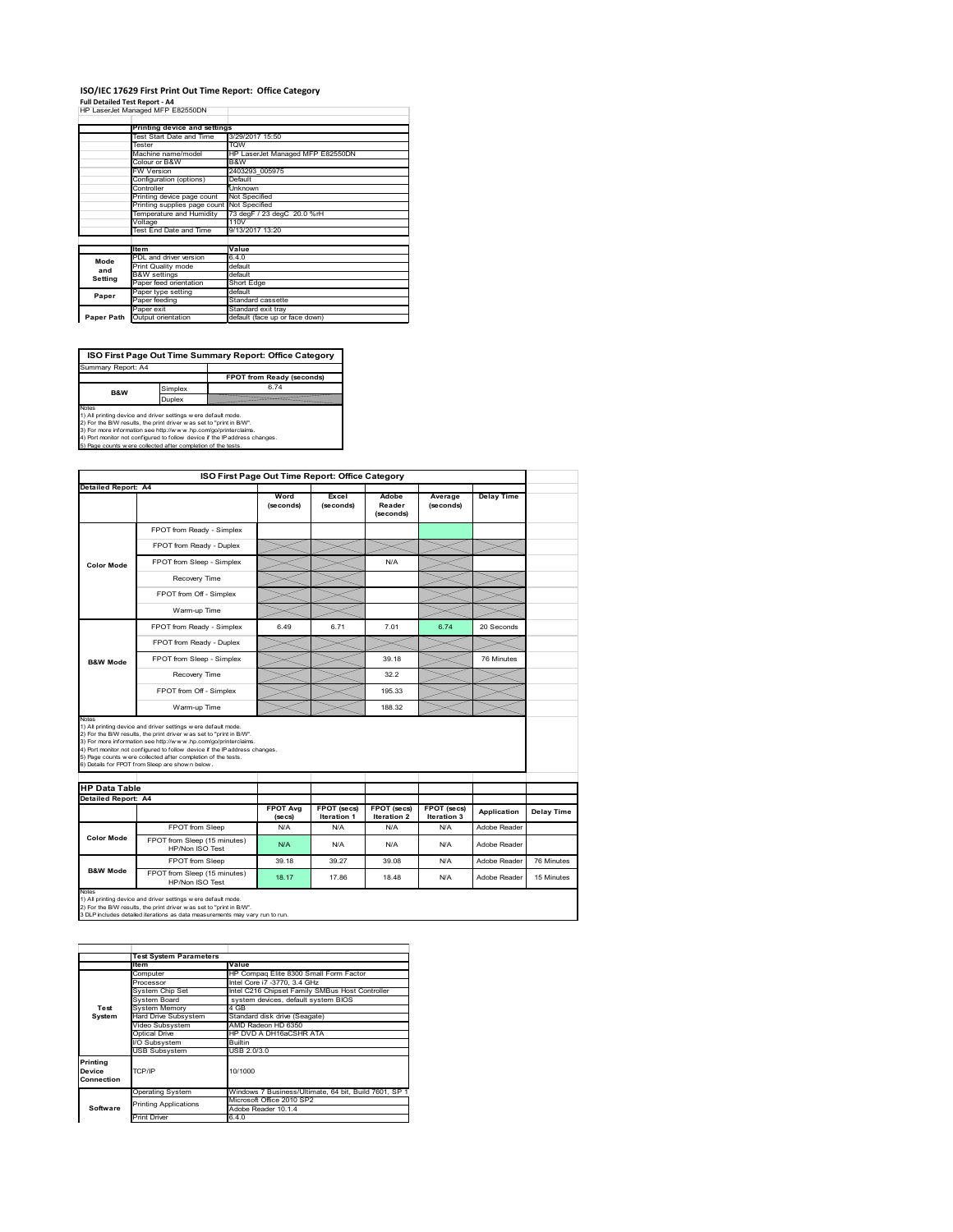## **ISO/IEC 17629 First Print Out Time Report: Office Category**

| Full Detailed Test Report - A4   |  |
|----------------------------------|--|
| HP LaserJet Managed MFP E82550DN |  |

|            | Printing device and settings |                                  |  |  |
|------------|------------------------------|----------------------------------|--|--|
|            | Test Start Date and Time     | 3/29/2017 15:50                  |  |  |
|            | Tester                       | <b>TOW</b>                       |  |  |
|            | Machine name/model           | HP LaserJet Managed MFP E82550DN |  |  |
|            | Colour or B&W                | B&W                              |  |  |
|            | FW Version                   | 2403293 005975                   |  |  |
|            | Configuration (options)      | Default                          |  |  |
|            | Controller                   | Unknown                          |  |  |
|            | Printing device page count   | Not Specified                    |  |  |
|            | Printing supplies page count | Not Specified                    |  |  |
|            | Temperature and Humidity     | 73 degF / 23 degC 20.0 %rH       |  |  |
|            | Voltage                      | 110V                             |  |  |
|            | Test End Date and Time       | 9/13/2017 13:20                  |  |  |
|            |                              |                                  |  |  |
|            | <b>Item</b>                  | Value                            |  |  |
| Mode       | PDL and driver version       | 6.4.0                            |  |  |
| and        | Print Quality mode           | default                          |  |  |
| Setting    | <b>B&amp;W</b> settings      | default                          |  |  |
|            | Paper feed orientation       | Short Edge                       |  |  |
| Paper      | Paper type setting           | default                          |  |  |
|            | Paper feeding                | Standard cassette                |  |  |
|            | Paper exit                   | Standard exit tray               |  |  |
| Paper Path | Output orientation           | default (face up or face down)   |  |  |

**ISO First Page Out Time Summary Report: Office Category**

**FPOT from Ready (seconds)** Simplex 6.74 Duplex Notes<br>1) All printing device and driver settings were default mode.<br>2) For the BAV results, the print driver was set to "print in BAV".<br>3) For more information see http://www.hp.com/golprinterclaims.<br>4) Port monitor not co Summary Report: A4 **B&W**

| ISO First Page Out Time Report: Office Category |                                                                                                                                                                                                                                                                                                                                                                                                              |                            |                                   |                              |                            |                   |            |  |  |
|-------------------------------------------------|--------------------------------------------------------------------------------------------------------------------------------------------------------------------------------------------------------------------------------------------------------------------------------------------------------------------------------------------------------------------------------------------------------------|----------------------------|-----------------------------------|------------------------------|----------------------------|-------------------|------------|--|--|
| <b>Detailed Report: A4</b>                      |                                                                                                                                                                                                                                                                                                                                                                                                              |                            |                                   |                              |                            |                   |            |  |  |
|                                                 |                                                                                                                                                                                                                                                                                                                                                                                                              | Word<br>(seconds)          | Excel<br>(seconds)                | Adobe<br>Reader<br>(seconds) | Average<br>(seconds)       | <b>Delay Time</b> |            |  |  |
|                                                 | FPOT from Ready - Simplex                                                                                                                                                                                                                                                                                                                                                                                    |                            |                                   |                              |                            |                   |            |  |  |
|                                                 | FPOT from Ready - Duplex                                                                                                                                                                                                                                                                                                                                                                                     |                            |                                   |                              |                            |                   |            |  |  |
| <b>Color Mode</b>                               | FPOT from Sleep - Simplex                                                                                                                                                                                                                                                                                                                                                                                    |                            |                                   | N/A                          |                            |                   |            |  |  |
|                                                 | Recovery Time                                                                                                                                                                                                                                                                                                                                                                                                |                            |                                   |                              |                            |                   |            |  |  |
|                                                 | FPOT from Off - Simplex                                                                                                                                                                                                                                                                                                                                                                                      |                            |                                   |                              |                            |                   |            |  |  |
|                                                 | Warm-up Time                                                                                                                                                                                                                                                                                                                                                                                                 |                            |                                   |                              |                            |                   |            |  |  |
|                                                 | FPOT from Ready - Simplex                                                                                                                                                                                                                                                                                                                                                                                    | 6.49                       | 6.71                              | 7.01                         | 6.74                       | 20 Seconds        |            |  |  |
|                                                 | FPOT from Ready - Duplex                                                                                                                                                                                                                                                                                                                                                                                     |                            |                                   |                              |                            |                   |            |  |  |
| <b>B&amp;W Mode</b>                             | FPOT from Sleep - Simplex                                                                                                                                                                                                                                                                                                                                                                                    |                            |                                   | 39.18                        |                            | 76 Minutes        |            |  |  |
|                                                 | Recovery Time                                                                                                                                                                                                                                                                                                                                                                                                |                            |                                   | 322                          |                            |                   |            |  |  |
|                                                 | FPOT from Off - Simplex                                                                                                                                                                                                                                                                                                                                                                                      |                            |                                   | 195.33                       |                            |                   |            |  |  |
|                                                 | Warm-up Time                                                                                                                                                                                                                                                                                                                                                                                                 |                            |                                   | 188.32                       |                            |                   |            |  |  |
|                                                 | 1) All printing device and driver settings w ere default mode.<br>2) For the B/W results, the print driver w as set to "print in B/W".<br>3) For more information see http://www.hp.com/go/printerclaims.<br>4) Port monitor not configured to follow device if the IP address changes.<br>5) Page counts w ere collected after completion of the tests.<br>6) Details for FPOT from Sleep are show n below. |                            |                                   |                              |                            |                   |            |  |  |
| <b>HP Data Table</b>                            |                                                                                                                                                                                                                                                                                                                                                                                                              |                            |                                   |                              |                            |                   |            |  |  |
| <b>Detailed Report: A4</b>                      |                                                                                                                                                                                                                                                                                                                                                                                                              | <b>FPOT Avg</b><br>(se cs) | FPOT (secs)<br><b>Iteration 1</b> | FPOT (secs)<br>Iteration 2   | FPOT (secs)<br>Iteration 3 | Application       | Delay Time |  |  |
|                                                 | FPOT from Sleep                                                                                                                                                                                                                                                                                                                                                                                              | N/A                        | N/A                               | N/A                          | N/A                        | Adobe Reader      |            |  |  |
| <b>Color Mode</b>                               | FPOT from Sleep (15 minutes)<br>HP/Non ISO Test                                                                                                                                                                                                                                                                                                                                                              | N/A                        | N/A                               | N/A                          | N/A                        | Adobe Reader      |            |  |  |
|                                                 | FPOT from Sleep                                                                                                                                                                                                                                                                                                                                                                                              | 39.18                      | 39.27                             | 39.08                        | N/A                        | Adobe Reader      | 76 Minutes |  |  |
| <b>B&amp;W Mode</b>                             | FPOT from Sleep (15 minutes)<br>HP/Non ISO Test                                                                                                                                                                                                                                                                                                                                                              | 18.17                      | 1786                              | 18 48                        | N/A                        | Adobe Reader      | 15 Minutes |  |  |
| Notes                                           | 1) All printing device and driver settings w ere default mode.<br>2) For the B/W results, the print driver was set to "print in B/W".<br>3 DLP includes detailed iterations as data measurements may vary run to run.                                                                                                                                                                                        |                            |                                   |                              |                            |                   |            |  |  |

|                                  | <b>Test System Parameters</b>           |                                                       |  |  |
|----------------------------------|-----------------------------------------|-------------------------------------------------------|--|--|
|                                  | <b>Item</b>                             | Value                                                 |  |  |
|                                  | Computer                                | HP Compag Elite 8300 Small Form Factor                |  |  |
|                                  | Processor                               | Intel Core i7 -3770, 3.4 GHz                          |  |  |
|                                  | System Chip Set                         | Intel C216 Chipset Family SMBus Host Controller       |  |  |
|                                  | System Board                            | system devices, default system BIOS                   |  |  |
| Test                             | <b>System Memory</b>                    | 4 GB                                                  |  |  |
| System                           | Hard Drive Subsystem                    | Standard disk drive (Seagate)                         |  |  |
|                                  | Video Subsvstem                         | AMD Radeon HD 6350                                    |  |  |
|                                  | Optical Drive<br>HP DVD A DH16aCSHR ATA |                                                       |  |  |
|                                  | I/O Subsystem<br><b>Builtin</b>         |                                                       |  |  |
|                                  | <b>USB Subsystem</b>                    | USB 2.0/3.0                                           |  |  |
| Printing<br>Device<br>Connection | TCP/IP                                  | 10/1000                                               |  |  |
|                                  | <b>Operating System</b>                 | Windows 7 Business/Ultimate, 64 bit, Build 7601, SP 1 |  |  |
|                                  | <b>Printing Applications</b>            | Microsoft Office 2010 SP2                             |  |  |
| Software                         |                                         | Adobe Reader 10.1.4                                   |  |  |
|                                  | <b>Print Driver</b>                     | 6.4.0                                                 |  |  |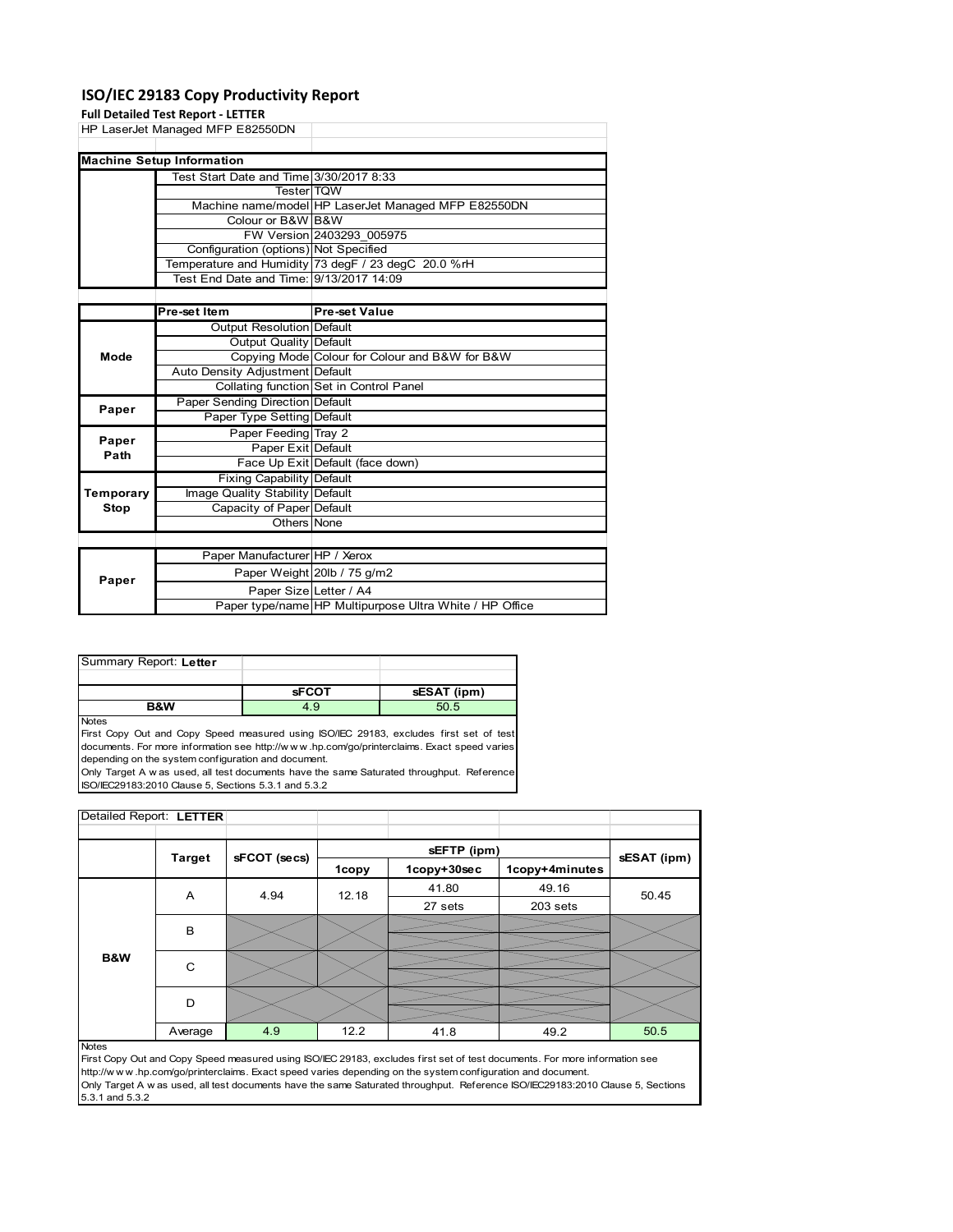### **ISO/IEC 29183 Copy Productivity Report**

|             | <b>Full Detailed Test Report - LETTER</b> |                                                     |  |  |
|-------------|-------------------------------------------|-----------------------------------------------------|--|--|
|             | HP LaserJet Managed MFP E82550DN          |                                                     |  |  |
|             |                                           |                                                     |  |  |
|             | <b>Machine Setup Information</b>          |                                                     |  |  |
|             | Test Start Date and Time 3/30/2017 8:33   |                                                     |  |  |
|             | <b>Tester</b> TQW                         |                                                     |  |  |
|             |                                           | Machine name/model HP LaserJet Managed MFP E82550DN |  |  |
|             | Colour or B&W B&W                         |                                                     |  |  |
|             |                                           | FW Version 2403293 005975                           |  |  |
|             | Configuration (options) Not Specified     |                                                     |  |  |
|             |                                           | Temperature and Humidity 73 degF / 23 degC 20.0 %rH |  |  |
|             | Test End Date and Time: 9/13/2017 14:09   |                                                     |  |  |
|             |                                           |                                                     |  |  |
|             | Pre-set Item                              | <b>Pre-set Value</b>                                |  |  |
|             | Output Resolution Default                 |                                                     |  |  |
|             | Output Quality Default                    |                                                     |  |  |
| Mode        |                                           | Copying Mode Colour for Colour and B&W for B&W      |  |  |
|             | Auto Density Adjustment Default           |                                                     |  |  |
|             |                                           | Collating function Set in Control Panel             |  |  |
| Paper       | Paper Sending Direction Default           |                                                     |  |  |
|             | Paper Type Setting Default                |                                                     |  |  |
| Paper       | Paper Feeding Tray 2                      |                                                     |  |  |
| Path        | Paper Exit Default                        |                                                     |  |  |
|             |                                           | Face Up Exit Default (face down)                    |  |  |
|             | <b>Fixing Capability Default</b>          |                                                     |  |  |
| Temporary   | Image Quality Stability Default           |                                                     |  |  |
| <b>Stop</b> | Capacity of Paper Default                 |                                                     |  |  |
|             | Others None                               |                                                     |  |  |
|             |                                           |                                                     |  |  |
|             | Paper Manufacturer HP / Xerox             |                                                     |  |  |
| Paper       |                                           | Paper Weight 20lb / 75 g/m2                         |  |  |
|             | Paper Size Letter / A4                    |                                                     |  |  |

| Summary Report: Letter |              |             |
|------------------------|--------------|-------------|
|                        |              |             |
|                        | <b>sFCOT</b> | sESAT (ipm) |
|                        |              |             |

Notes

First Copy Out and Copy Speed measured using ISO/IEC 29183, excludes first set of test documents. For more information see http://w w w .hp.com/go/printerclaims. Exact speed varies depending on the system configuration and document.

Only Target A w as used, all test documents have the same Saturated throughput. Reference ISO/IEC29183:2010 Clause 5, Sections 5.3.1 and 5.3.2

| Detailed Report: LETTER |               |              |       |             |                |       |  |
|-------------------------|---------------|--------------|-------|-------------|----------------|-------|--|
|                         |               |              |       |             |                |       |  |
|                         | <b>Target</b> | sFCOT (secs) |       | sESAT (ipm) |                |       |  |
|                         |               |              | 1copy | 1copy+30sec | 1copy+4minutes |       |  |
|                         | A             | 4.94         | 12.18 | 41.80       | 49.16          | 50.45 |  |
|                         |               |              |       | 27 sets     | $203$ sets     |       |  |
|                         | B             |              |       |             |                |       |  |
|                         |               |              |       |             |                |       |  |
| B&W                     | C             |              |       |             |                |       |  |
|                         |               |              |       |             |                |       |  |
|                         | D             |              |       |             |                |       |  |
|                         |               |              |       |             |                |       |  |
|                         | Average       | 4.9          | 12.2  | 41.8        | 49.2           | 50.5  |  |

Paper type/name HP Multipurpose Ultra White / HP Office

#### Notes

First Copy Out and Copy Speed measured using ISO/IEC 29183, excludes first set of test documents. For more information see<br>http://www.hp.com/go/printerclaims. Exact speed varies depending on the system configuration and do http://w w w .hp.com/go/printerclaims. Exact speed varies depending on the system configuration and document. Only Target A w as used, all test documents have the same Saturated throughput. Reference ISO/IEC29183:2010 Clause 5, Sections 5.3.1 and 5.3.2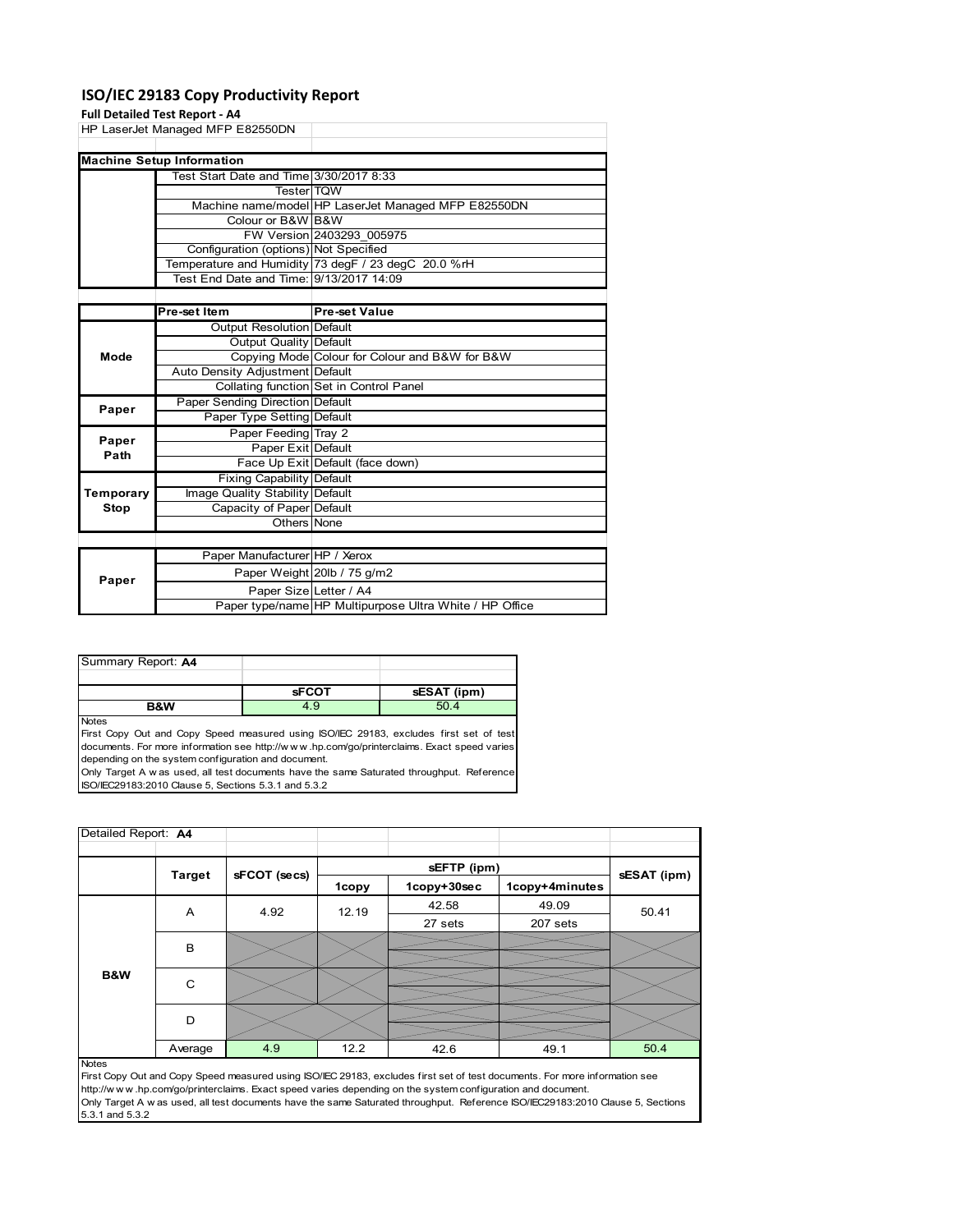### **ISO/IEC 29183 Copy Productivity Report**

### **Full Detailed Test Report**

|             | Full Detailed Test Report - A4          |                                                     |
|-------------|-----------------------------------------|-----------------------------------------------------|
|             | HP LaserJet Managed MFP E82550DN        |                                                     |
|             |                                         |                                                     |
|             | <b>Machine Setup Information</b>        |                                                     |
|             | Test Start Date and Time 3/30/2017 8:33 |                                                     |
|             | <b>Tester</b> TOW                       |                                                     |
|             |                                         | Machine name/model HP LaserJet Managed MFP E82550DN |
|             | Colour or B&W B&W                       |                                                     |
|             |                                         | FW Version 2403293_005975                           |
|             | Configuration (options) Not Specified   |                                                     |
|             |                                         | Temperature and Humidity 73 degF / 23 degC 20.0 %rH |
|             | Test End Date and Time: 9/13/2017 14:09 |                                                     |
|             |                                         |                                                     |
|             | Pre-set Item                            | <b>Pre-set Value</b>                                |
|             | <b>Output Resolution Default</b>        |                                                     |
|             | Output Quality Default                  |                                                     |
| Mode        |                                         | Copying Mode Colour for Colour and B&W for B&W      |
|             | Auto Density Adjustment Default         |                                                     |
|             |                                         | Collating function Set in Control Panel             |
| Paper       | Paper Sending Direction Default         |                                                     |
|             | Paper Type Setting Default              |                                                     |
| Paper       | Paper Feeding Tray 2                    |                                                     |
| Path        | Paper Exit Default                      |                                                     |
|             |                                         | Face Up Exit Default (face down)                    |
|             | <b>Fixing Capability Default</b>        |                                                     |
| Temporary   | Image Quality Stability Default         |                                                     |
| <b>Stop</b> | Capacity of Paper Default               |                                                     |
|             | Others None                             |                                                     |
|             |                                         |                                                     |
|             | Paper Manufacturer HP / Xerox           |                                                     |
|             |                                         | Donor Woight 2016 / 75 $g/m2$                       |

| Paper |                        | Paper Weight 20lb / 75 g/m2                             |
|-------|------------------------|---------------------------------------------------------|
|       | Paper Size Letter / A4 |                                                         |
|       |                        | Paper type/name HP Multipurpose Ultra White / HP Office |
|       |                        |                                                         |

| Summary Report: A4 |              |             |
|--------------------|--------------|-------------|
|                    |              |             |
|                    | <b>SFCOT</b> | sESAT (ipm) |
| B&W                | 4.9          | 504         |

Notes

First Copy Out and Copy Speed measured using ISO/IEC 29183, excludes first set of test documents. For more information see http://w w w .hp.com/go/printerclaims. Exact speed varies depending on the system configuration and document.

Only Target A w as used, all test documents have the same Saturated throughput. Reference ISO/IEC29183:2010 Clause 5, Sections 5.3.1 and 5.3.2

| Detailed Report: A4 |               |              |       |             |                |             |  |
|---------------------|---------------|--------------|-------|-------------|----------------|-------------|--|
|                     |               |              |       | sEFTP (ipm) |                |             |  |
|                     | <b>Target</b> | sFCOT (secs) | 1copy | 1copy+30sec | 1copy+4minutes | sESAT (ipm) |  |
|                     | A             | 4.92         | 12.19 | 42.58       | 49.09          | 50.41       |  |
|                     |               |              |       | 27 sets     | 207 sets       |             |  |
| B&W                 | B             |              |       |             |                |             |  |
|                     | C             |              |       |             |                |             |  |
|                     | D             |              |       |             |                |             |  |
|                     | Average       | 4.9          | 12.2  | 42.6        | 49.1           | 50.4        |  |
| <b>Notes</b>        |               |              |       |             |                |             |  |

First Copy Out and Copy Speed measured using ISO/IEC 29183, excludes first set of test documents. For more information see http://w w w .hp.com/go/printerclaims. Exact speed varies depending on the system configuration and document. Only Target A w as used, all test documents have the same Saturated throughput. Reference ISO/IEC29183:2010 Clause 5, Sections 5.3.1 and 5.3.2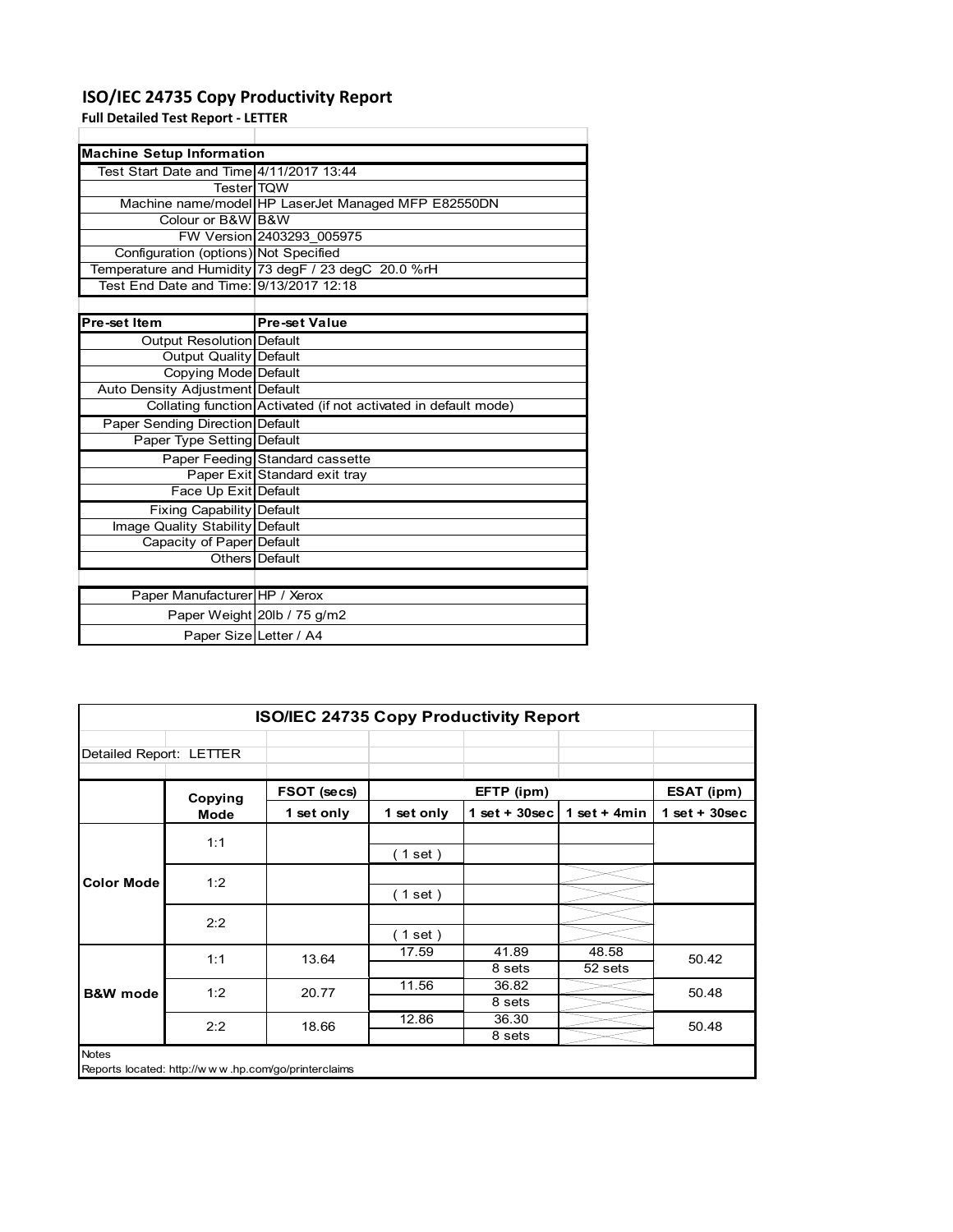### **ISO/IEC 24735 Copy Productivity Report**

Paper Weight 20lb / 75 g/m2 Paper Size Letter / A4

**Full Detailed Test Report ‐ LETTER**

| <b>Machine Setup Information</b>         |                                                                 |
|------------------------------------------|-----------------------------------------------------------------|
| Test Start Date and Time 4/11/2017 13:44 |                                                                 |
| <b>TesterITQW</b>                        |                                                                 |
|                                          | Machine name/model HP LaserJet Managed MFP E82550DN             |
| Colour or B&W B&W                        |                                                                 |
|                                          | FW Version 2403293 005975                                       |
| Configuration (options) Not Specified    |                                                                 |
|                                          | Temperature and Humidity 73 degF / 23 degC 20.0 %rH             |
| Test End Date and Time: 9/13/2017 12:18  |                                                                 |
|                                          |                                                                 |
| Pre-set Item                             | <b>Pre-set Value</b>                                            |
| Output Resolution Default                |                                                                 |
| <b>Output Quality Default</b>            |                                                                 |
| Copying Mode Default                     |                                                                 |
| Auto Density Adjustment Default          |                                                                 |
|                                          | Collating function Activated (if not activated in default mode) |
| <b>Paper Sending Direction Default</b>   |                                                                 |
| Paper Type Setting Default               |                                                                 |
|                                          | Paper Feeding Standard cassette                                 |
|                                          | Paper Exit Standard exit tray                                   |
| Face Up Exit Default                     |                                                                 |
| <b>Fixing Capability Default</b>         |                                                                 |
| Image Quality Stability Default          |                                                                 |
| Capacity of Paper Default                |                                                                 |
|                                          | Others Default                                                  |
|                                          |                                                                 |
| Paper Manufacturer HP / Xerox            |                                                                 |

| <b>ISO/IEC 24735 Copy Productivity Report</b> |                                                     |            |            |                  |                |                 |       |
|-----------------------------------------------|-----------------------------------------------------|------------|------------|------------------|----------------|-----------------|-------|
| Detailed Report: LETTER                       |                                                     |            |            |                  |                |                 |       |
|                                               | FSOT (secs)<br>EFTP (ipm)<br>Copying                |            |            | ESAT (ipm)       |                |                 |       |
|                                               | Mode                                                | 1 set only | 1 set only | 1 set + $30$ sec | 1 set + $4min$ | $1$ set + 30sec |       |
|                                               | 1:1                                                 |            |            |                  |                |                 |       |
| <b>Color Mode</b>                             |                                                     |            | (1 set)    |                  |                |                 |       |
|                                               | 1:2                                                 |            |            |                  |                |                 |       |
|                                               |                                                     |            | (1 set )   |                  |                |                 |       |
|                                               | 2:2                                                 |            |            |                  |                |                 |       |
|                                               |                                                     |            | (1 set)    |                  |                |                 |       |
| <b>B&amp;W</b> mode                           | 1:1                                                 |            | 13.64      | 17.59            | 41.89          | 48.58           | 50.42 |
|                                               |                                                     |            |            | 8 sets           | 52 sets        |                 |       |
|                                               | 1:2                                                 | 20.77      | 11.56      | 36.82            |                | 50.48           |       |
|                                               |                                                     |            |            | 8 sets           |                |                 |       |
|                                               | 2:2                                                 | 18.66      | 12.86      | 36.30            |                | 50.48           |       |
|                                               |                                                     |            |            | 8 sets           |                |                 |       |
| <b>Notes</b>                                  | Reports located: http://www.hp.com/go/printerclaims |            |            |                  |                |                 |       |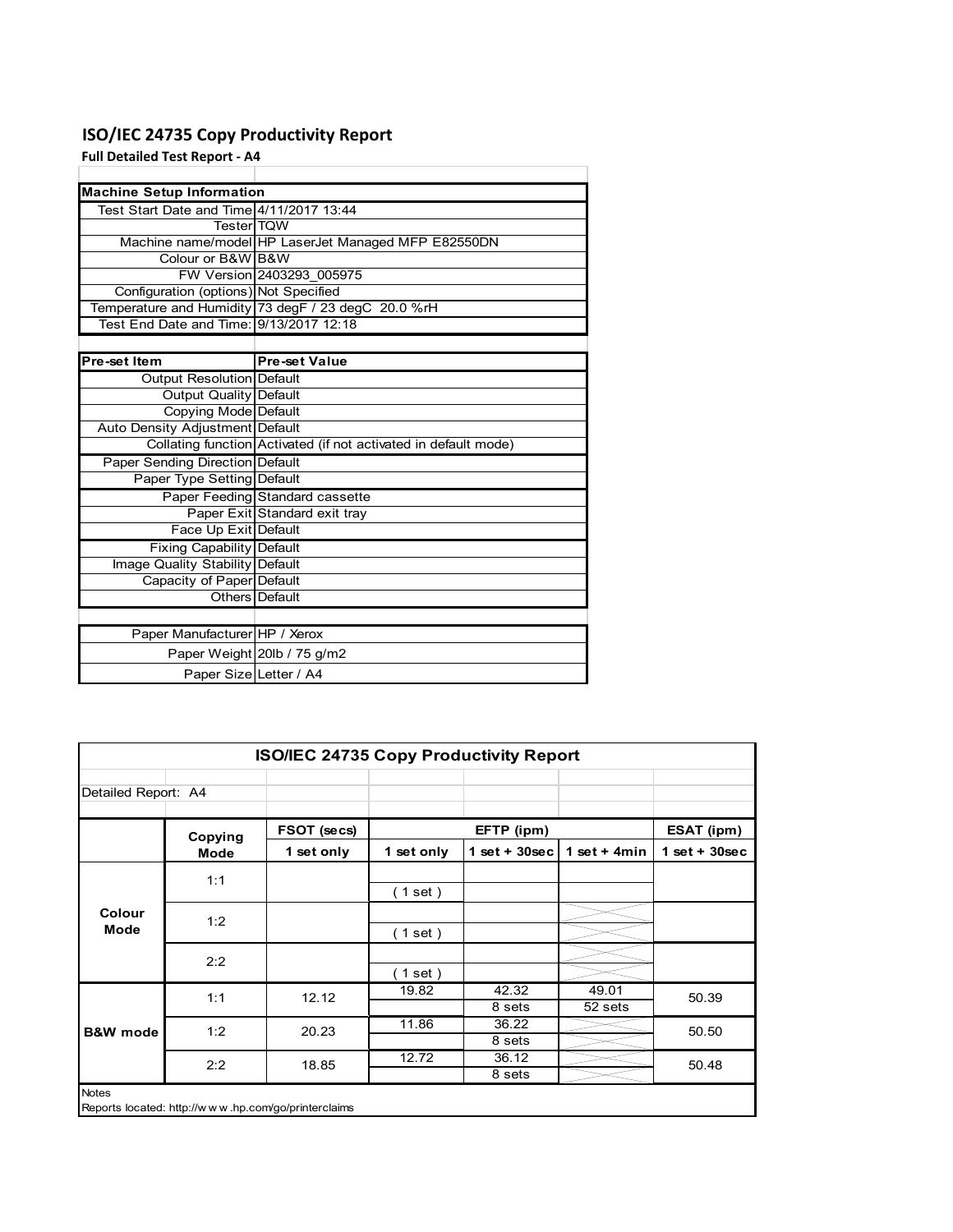### **ISO/IEC 24735 Copy Productivity Report**

**Full Detailed Test Report ‐ A4**

| <b>Machine Setup Information</b>         |                                                                 |
|------------------------------------------|-----------------------------------------------------------------|
| Test Start Date and Time 4/11/2017 13:44 |                                                                 |
| <b>TesterITOW</b>                        |                                                                 |
|                                          | Machine name/model HP LaserJet Managed MFP E82550DN             |
| Colour or B&W B&W                        |                                                                 |
|                                          | FW Version 2403293 005975                                       |
| Configuration (options) Not Specified    |                                                                 |
|                                          | Temperature and Humidity 73 degF / 23 degC 20.0 %rH             |
| Test End Date and Time: 9/13/2017 12:18  |                                                                 |
|                                          |                                                                 |
| Pre-set Item                             | <b>Pre-set Value</b>                                            |
| Output Resolution Default                |                                                                 |
| <b>Output Quality Default</b>            |                                                                 |
| Copying Mode Default                     |                                                                 |
| Auto Density Adjustment Default          |                                                                 |
|                                          | Collating function Activated (if not activated in default mode) |
| <b>Paper Sending Direction Default</b>   |                                                                 |
| Paper Type Setting Default               |                                                                 |
|                                          | Paper Feeding Standard cassette                                 |
|                                          | Paper Exit Standard exit tray                                   |
| Face Up Exit Default                     |                                                                 |
| <b>Fixing Capability Default</b>         |                                                                 |
| Image Quality Stability Default          |                                                                 |
| Capacity of Paper Default                |                                                                 |
|                                          | Others Default                                                  |
|                                          |                                                                 |
| Paper Manufacturer HP / Xerox            |                                                                 |
|                                          | Paper Weight 20lb / 75 g/m2                                     |
| Paper Size Letter / A4                   |                                                                 |

| <b>ISO/IEC 24735 Copy Productivity Report</b> |             |                                                     |            |                 |                  |                 |  |
|-----------------------------------------------|-------------|-----------------------------------------------------|------------|-----------------|------------------|-----------------|--|
| Detailed Report: A4                           |             |                                                     |            |                 |                  |                 |  |
| Copying                                       |             | FSOT (secs)                                         |            | EFTP (ipm)      |                  | ESAT (ipm)      |  |
|                                               | <b>Mode</b> | 1 set only                                          | 1 set only | $1$ set + 30sec | 1 set + $4min$   | $1$ set + 30sec |  |
|                                               | 1:1         |                                                     | (1 set)    |                 |                  |                 |  |
| Colour<br><b>Mode</b>                         | 1:2         |                                                     | (1 set )   |                 |                  |                 |  |
|                                               | 2:2         |                                                     | (1 set)    |                 |                  |                 |  |
|                                               | 1:1         | 12.12                                               | 19.82      | 42.32<br>8 sets | 49.01<br>52 sets | 50.39           |  |
| <b>B&amp;W</b> mode                           | 1:2         | 20.23                                               | 11.86      | 36.22<br>8 sets |                  | 50.50           |  |
|                                               | 2:2         | 18.85                                               | 12.72      | 36.12<br>8 sets |                  | 50.48           |  |
| <b>Notes</b>                                  |             | Reports located: http://www.hp.com/go/printerclaims |            |                 |                  |                 |  |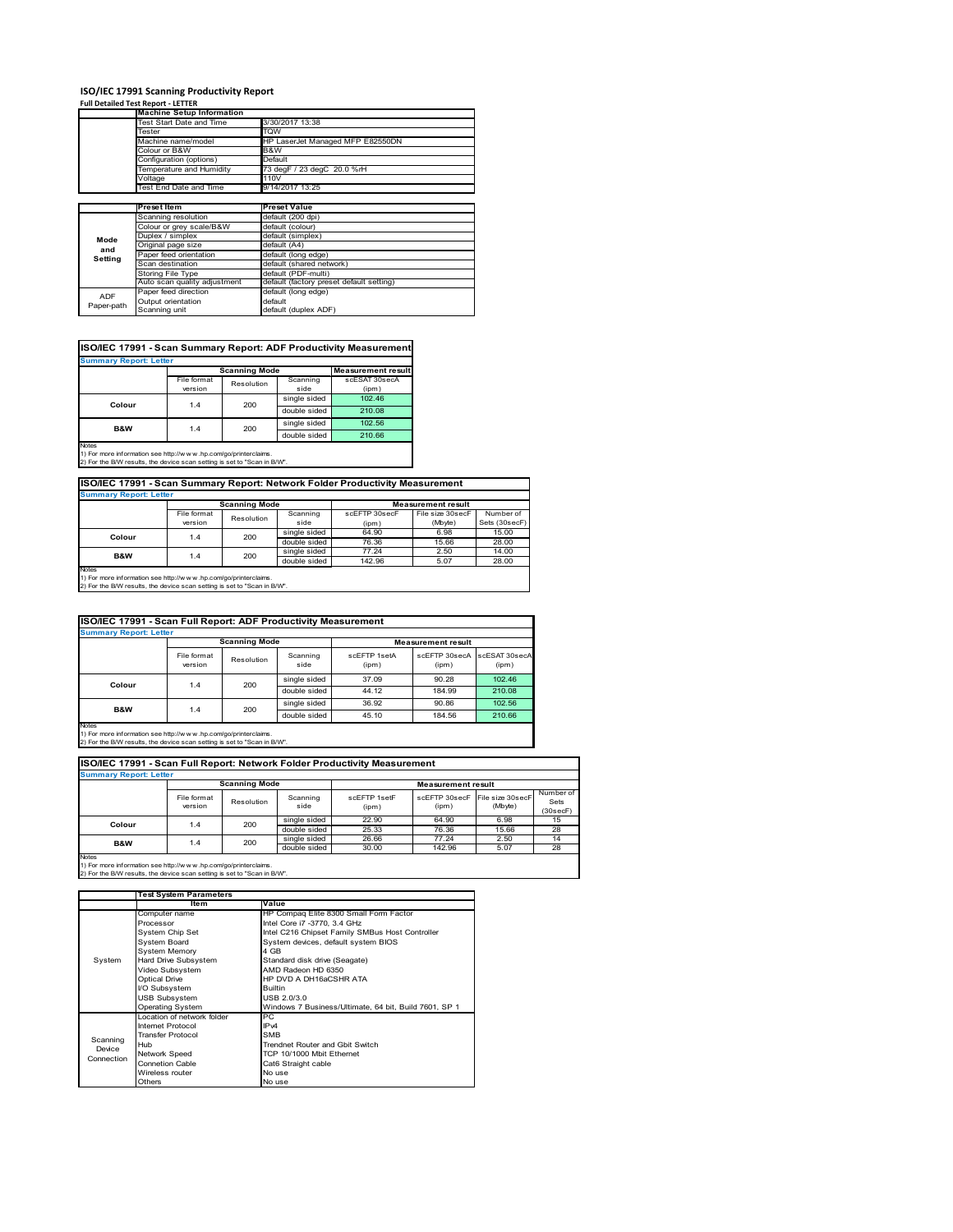# **ISO/IEC 17991 Scanning Productivity Report Full Detailed Test Report ‐ LETTER Machine Setup Information**

|            | <b>Machine Setup Information</b> |                                          |  |  |
|------------|----------------------------------|------------------------------------------|--|--|
|            | Test Start Date and Time         | 3/30/2017 13:38                          |  |  |
|            | Tester                           | TQW                                      |  |  |
|            | Machine name/model               | HP LaserJet Managed MFP E82550DN         |  |  |
|            | Colour or B&W                    | B&W                                      |  |  |
|            | Configuration (options)          | Default                                  |  |  |
|            | Temperature and Humidity         | 73 degF / 23 degC 20.0 %rH               |  |  |
|            | Voltage                          | 110V                                     |  |  |
|            | Test End Date and Time           | 9/14/2017 13:25                          |  |  |
|            |                                  |                                          |  |  |
|            | <b>Preset Item</b>               | <b>Preset Value</b>                      |  |  |
|            | Scanning resolution              | default (200 dpi)                        |  |  |
|            | Colour or grey scale/B&W         | default (colour)                         |  |  |
| Mode       | Duplex / simplex                 | default (simplex)                        |  |  |
| and        | Original page size               | default (A4)                             |  |  |
| Setting    | Paper feed orientation           | default (long edge)                      |  |  |
|            | Scan destination                 | default (shared network)                 |  |  |
|            | <b>Storing File Type</b>         | default (PDF-multi)                      |  |  |
|            | Auto scan quality adjustment     | default (factory preset default setting) |  |  |
| <b>ADF</b> | Paper feed direction             | default (long edge)                      |  |  |
| Paper-path | Output orientation               | default                                  |  |  |
|            | Scanning unit                    | default (duplex ADF)                     |  |  |

| <b>Scanning Mode</b><br>File format<br>Scanning<br>Resolution<br>side<br>version<br>(ipm)<br>single sided<br>102.46<br>200<br>Colour<br>1.4<br>double sided<br>210.08 | <b>Summary Report: Letter</b> |  |     |              |                           |
|-----------------------------------------------------------------------------------------------------------------------------------------------------------------------|-------------------------------|--|-----|--------------|---------------------------|
|                                                                                                                                                                       |                               |  |     |              | <b>Measurement result</b> |
|                                                                                                                                                                       |                               |  |     |              | scESAT 30secA             |
|                                                                                                                                                                       |                               |  |     |              |                           |
|                                                                                                                                                                       |                               |  |     |              |                           |
|                                                                                                                                                                       |                               |  |     |              |                           |
| 1.4                                                                                                                                                                   | <b>B&amp;W</b>                |  | 200 | single sided | 102.56                    |
| double sided<br>210.66                                                                                                                                                |                               |  |     |              |                           |

### **ISO/IEC 17991 - Scan Summary Report: Network Folder Productivity Measurement**

| <b>Summary Report: Letter</b> |                      |            |              |                           |                  |               |  |
|-------------------------------|----------------------|------------|--------------|---------------------------|------------------|---------------|--|
|                               | <b>Scanning Mode</b> |            |              | <b>Measurement result</b> |                  |               |  |
|                               | File format          | Resolution | Scanning     | scEFTP 30secF             | File size 30secF | Number of     |  |
|                               | version              |            | side         | (ipm)                     | (Mbyte)          | Sets (30secF) |  |
| Colour                        | 1.4                  | 200        | single sided | 64.90                     | 6.98             | 15.00         |  |
|                               |                      |            | double sided | 76.36                     | 15.66            | 28.00         |  |
| <b>B&amp;W</b>                | 1.4                  | 200        | single sided | 77.24                     | 2.50             | 14.00         |  |
|                               |                      |            | double sided | 142.96                    | 5.07             | 28.00         |  |
| <b>Notes</b>                  |                      |            |              |                           |                  |               |  |

┓

Notes 1) For more information see http://w w w .hp.com/go/printerclaims. 2) For the B/W results, the device scan setting is set to "Scan in B/W".

| ISO/IEC 17991 - Scan Full Report: ADF Productivity Measurement |                        |            |                  |                           |                        |                        |  |  |
|----------------------------------------------------------------|------------------------|------------|------------------|---------------------------|------------------------|------------------------|--|--|
| <b>Summary Report: Letter</b>                                  |                        |            |                  |                           |                        |                        |  |  |
| <b>Scanning Mode</b>                                           |                        |            |                  | <b>Measurement result</b> |                        |                        |  |  |
|                                                                | File format<br>version | Resolution | Scanning<br>side | scFFTP 1setA<br>(ipm)     | scEETP 30secA<br>(ipm) | scESAT 30secA<br>(ipm) |  |  |
| Colour                                                         |                        | 200<br>1.4 | single sided     | 37.09                     | 90.28                  | 102.46                 |  |  |
|                                                                |                        |            | double sided     | 44.12                     | 184.99                 | 210.08                 |  |  |
| <b>B&amp;W</b>                                                 |                        | 200        | single sided     | 36.92                     | 90.86                  | 102.56                 |  |  |
|                                                                | 1.4                    |            | double sided     | 45.10                     | 184.56                 | 210.66                 |  |  |
| <b>Notes</b>                                                   |                        |            |                  |                           |                        |                        |  |  |

Notes 1) For more information see http://w w w .hp.com/go/printerclaims. 2) For the B/W results, the device scan setting is set to "Scan in B/W".

| ISO/IEC 17991 - Scan Full Report: Network Folder Productivity Measurement |                        |                      |                  |                       |                           |                             |                               |  |
|---------------------------------------------------------------------------|------------------------|----------------------|------------------|-----------------------|---------------------------|-----------------------------|-------------------------------|--|
| <b>Summary Report: Letter</b>                                             |                        |                      |                  |                       |                           |                             |                               |  |
|                                                                           |                        | <b>Scanning Mode</b> |                  |                       | <b>Measurement result</b> |                             |                               |  |
|                                                                           | File format<br>version | Resolution           | Scanning<br>side | scFFTP 1setF<br>(ipm) | scEETP 30secE<br>(ipm)    | File size 30secF<br>(Mbyte) | Number of<br>Sets<br>(30secF) |  |
| Colour                                                                    | 1.4                    | 200                  | single sided     | 22.90                 | 64.90                     | 6.98                        | 15                            |  |
|                                                                           | double sided           | 25.33                | 76.36            | 15.66                 | 28                        |                             |                               |  |
| <b>B&amp;W</b><br>1.4                                                     | 200                    | single sided         | 26.66            | 77.24                 | 2.50                      | 14                          |                               |  |
|                                                                           |                        |                      | double sided     | 30.00                 | 142.96                    | 5.07                        | 28                            |  |
| <b>Notes</b>                                                              |                        |                      |                  |                       |                           |                             |                               |  |

|            | <b>Test System Parameters</b> |                                                       |  |  |
|------------|-------------------------------|-------------------------------------------------------|--|--|
|            | Item                          | Value                                                 |  |  |
|            | Computer name                 | HP Compaq Elite 8300 Small Form Factor                |  |  |
| System     | Processor                     | Intel Core i7 -3770, 3.4 GHz                          |  |  |
|            | System Chip Set               | Intel C216 Chipset Family SMBus Host Controller       |  |  |
|            | <b>System Board</b>           | System devices, default system BIOS                   |  |  |
|            | <b>System Memory</b>          | 4 GB                                                  |  |  |
|            | Hard Drive Subsystem          | Standard disk drive (Seagate)                         |  |  |
|            | Video Subsystem               | AMD Radeon HD 6350                                    |  |  |
|            | <b>Optical Drive</b>          | HP DVD A DH16aCSHR ATA                                |  |  |
|            | I/O Subsystem                 | <b>Builtin</b>                                        |  |  |
|            | <b>USB Subsystem</b>          | USB 2.0/3.0                                           |  |  |
|            | <b>Operating System</b>       | Windows 7 Business/Ultimate, 64 bit, Build 7601, SP 1 |  |  |
|            | I ocation of network folder   | PC.                                                   |  |  |
|            | Internet Protocol             | IP <sub>v4</sub>                                      |  |  |
| Scanning   | <b>Transfer Protocol</b>      | <b>SMB</b>                                            |  |  |
| Device     | Hub                           | Trendnet Router and Gbit Switch                       |  |  |
| Connection | Network Speed                 | TCP 10/1000 Mbit Ethernet                             |  |  |
|            | <b>Connetion Cable</b>        | Cat6 Straight cable                                   |  |  |
|            | Wireless router               | No use                                                |  |  |
|            | Others                        | No use                                                |  |  |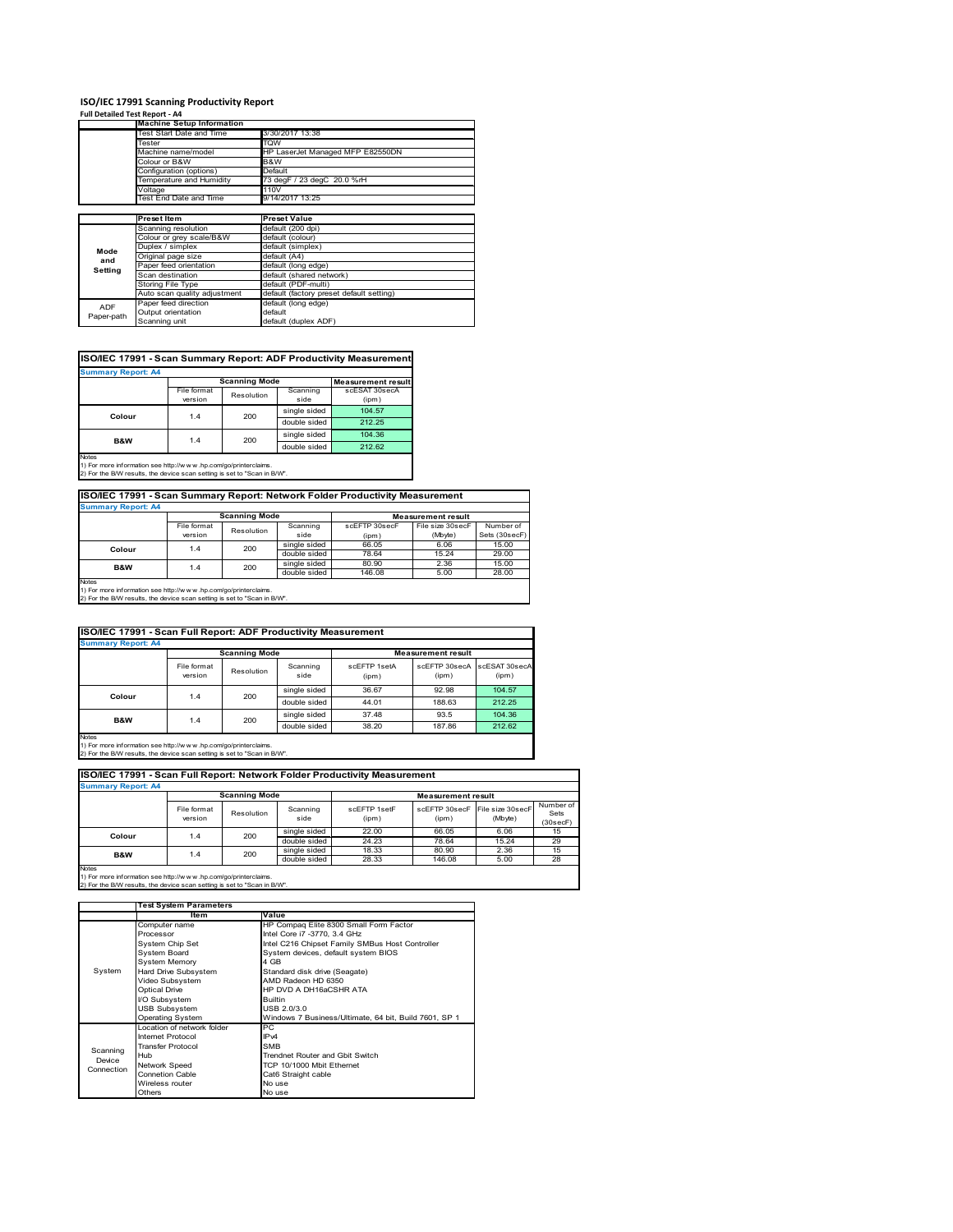### **ISO/IEC 17991 Scanning Productivity Report**

| Full Detailed Test Report - A4 |                                  |                                          |  |  |
|--------------------------------|----------------------------------|------------------------------------------|--|--|
|                                | <b>Machine Setup Information</b> |                                          |  |  |
|                                | Test Start Date and Time         | 3/30/2017 13:38                          |  |  |
|                                | Tester                           | TQW                                      |  |  |
|                                | Machine name/model               | HP LaserJet Managed MFP E82550DN         |  |  |
|                                | Colour or B&W                    | B&W                                      |  |  |
|                                | Configuration (options)          | Default                                  |  |  |
|                                | Temperature and Humidity         | 73 degF / 23 degC 20.0 %rH               |  |  |
|                                | Voltage                          | 110V                                     |  |  |
|                                | Test End Date and Time           | 9/14/2017 13:25                          |  |  |
|                                |                                  |                                          |  |  |
|                                | <b>Preset Item</b>               | <b>Preset Value</b>                      |  |  |
|                                | Scanning resolution              | default (200 dpi)                        |  |  |
|                                | Colour or grey scale/B&W         | default (colour)                         |  |  |
| Mode                           | Duplex / simplex                 | default (simplex)                        |  |  |
| and                            | Original page size               | default (A4)                             |  |  |
| Setting                        | Paper feed orientation           | default (long edge)                      |  |  |
|                                | Scan destination                 | default (shared network)                 |  |  |
|                                | Storing File Type                | default (PDF-multi)                      |  |  |
|                                | Auto scan quality adjustment     | default (factory preset default setting) |  |  |
| ADF                            | Paper feed direction             | default (long edge)                      |  |  |
| Paper-path                     | Output orientation               | default                                  |  |  |
|                                | Scanning unit                    | default (duplex ADF)                     |  |  |

### **ISO/IEC 17991 - Scan Summary Report: ADF Productivity Measurement**

| <b>Summary Report: A4</b><br><b>Scanning Mode</b> |                        |                           |                  |                        |  |  |  |
|---------------------------------------------------|------------------------|---------------------------|------------------|------------------------|--|--|--|
|                                                   |                        | <b>Measurement result</b> |                  |                        |  |  |  |
|                                                   | File format<br>version | Resolution                | Scanning<br>side | scESAT 30secA<br>(ipm) |  |  |  |
|                                                   | 1.4                    | 200                       | single sided     | 104.57                 |  |  |  |
| Colour                                            |                        |                           | double sided     | 212.25                 |  |  |  |
| <b>B&amp;W</b>                                    | 1.4                    | 200                       | single sided     | 104.36                 |  |  |  |
|                                                   |                        |                           | double sided     | 212.62                 |  |  |  |
| <b>Notes</b>                                      |                        |                           |                  |                        |  |  |  |

1) For more information see http://w w w .hp.com/go/printerclaims. 2) For the B/W results, the device scan setting is set to "Scan in B/W".

### **ISO/IEC 17991 - Scan Summary Report: Network Folder Productivity Measurement Summary Report: A4**

| Summary Report, A4 |                      |            |              |               |                           |               |  |  |
|--------------------|----------------------|------------|--------------|---------------|---------------------------|---------------|--|--|
|                    | <b>Scanning Mode</b> |            |              |               | <b>Measurement result</b> |               |  |  |
|                    | File format          | Resolution | Scanning     | scEFTP 30secF | File size 30secF          | Number of     |  |  |
|                    | version              |            | side         | (ipm)         | (Mbyte)                   | Sets (30secF) |  |  |
| Colour             | 1.4                  | 200        | single sided | 66.05         | 6.06                      | 15.00         |  |  |
|                    |                      |            | double sided | 78.64         | 15.24                     | 29.00         |  |  |
| B&W                | 1.4                  | 200        | single sided | 80.90         | 2.36                      | 15.00         |  |  |
|                    |                      |            | double sided | 146.08        | 5.00                      | 28.00         |  |  |
| Notes              |                      |            |              |               |                           |               |  |  |

Notes 1) For more information see http://w w w .hp.com/go/printerclaims. 2) For the B/W results, the device scan setting is set to "Scan in B/W".

| ISO/IEC 17991 - Scan Full Report: ADF Productivity Measurement |                        |            |                  |                       |                           |                        |  |  |
|----------------------------------------------------------------|------------------------|------------|------------------|-----------------------|---------------------------|------------------------|--|--|
| <b>Summary Report: A4</b>                                      |                        |            |                  |                       |                           |                        |  |  |
|                                                                | <b>Scanning Mode</b>   |            |                  |                       | <b>Measurement result</b> |                        |  |  |
|                                                                | File format<br>version | Resolution | Scanning<br>side | scEFTP 1setA<br>(ipm) | scEFTP 30secA<br>(ipm)    | scESAT 30secA<br>(ipm) |  |  |
| Colour                                                         | 200<br>1.4             |            | single sided     | 36.67                 | 92.98                     | 104.57                 |  |  |
|                                                                |                        |            | double sided     | 44.01                 | 188.63                    | 212.25                 |  |  |
| B&W                                                            | 1.4                    | 200        | single sided     | 37.48                 | 93.5                      | 104.36                 |  |  |
|                                                                |                        |            | double sided     | 38.20                 | 187.86                    | 212.62                 |  |  |
| Notes                                                          |                        |            |                  |                       |                           |                        |  |  |

Notes 1) For more information see http://w w w .hp.com/go/printerclaims. 2) For the B/W results, the device scan setting is set to "Scan in B/W".

| ISO/IEC 17991 - Scan Full Report: Network Folder Productivity Measurement |                        |                      |                  |                       |                           |                                           |                               |  |  |
|---------------------------------------------------------------------------|------------------------|----------------------|------------------|-----------------------|---------------------------|-------------------------------------------|-------------------------------|--|--|
| <b>Summary Report: A4</b>                                                 |                        |                      |                  |                       |                           |                                           |                               |  |  |
|                                                                           |                        | <b>Scanning Mode</b> |                  |                       | <b>Measurement result</b> |                                           |                               |  |  |
|                                                                           | File format<br>version | Resolution           | Scanning<br>side | scFFTP 1setF<br>(ipm) | (ipm)                     | scEFTP 30secF File size 30secF<br>(Mbyte) | Number of<br>Sets<br>(30secF) |  |  |
| Colour                                                                    | 1.4                    | 200                  | single sided     | 22.00                 | 66.05                     | 6.06                                      | 15                            |  |  |
|                                                                           |                        |                      | double sided     | 24.23                 | 78.64                     | 15.24                                     | 29                            |  |  |
| B&W                                                                       | 1.4                    | 200                  | single sided     | 18.33                 | 80.90                     | 2.36                                      | 15                            |  |  |
|                                                                           |                        |                      | double sided     | 28.33                 | 146.08                    | 5.00                                      | 28                            |  |  |
| <b>Notes</b>                                                              |                        |                      |                  |                       |                           |                                           |                               |  |  |

|            | <b>Test System Parameters</b> |                                                       |  |  |
|------------|-------------------------------|-------------------------------------------------------|--|--|
|            | ltem                          | Value                                                 |  |  |
|            | Computer name                 | HP Compaq Elite 8300 Small Form Factor                |  |  |
|            | Processor                     | Intel Core i7 -3770, 3.4 GHz                          |  |  |
|            | System Chip Set               | Intel C216 Chipset Family SMBus Host Controller       |  |  |
|            | System Board                  | System devices, default system BIOS                   |  |  |
|            | <b>System Memory</b>          | 4 GB                                                  |  |  |
| System     | Hard Drive Subsystem          | Standard disk drive (Seagate)                         |  |  |
|            | Video Subsystem               | AMD Radeon HD 6350                                    |  |  |
|            | <b>Optical Drive</b>          | HP DVD A DH16aCSHR ATA                                |  |  |
|            | I/O Subsystem                 | <b>Builtin</b>                                        |  |  |
|            | <b>USB Subsystem</b>          | USB 2.0/3.0                                           |  |  |
|            | <b>Operating System</b>       | Windows 7 Business/Ultimate, 64 bit, Build 7601, SP 1 |  |  |
|            | I ocation of network folder   | РC                                                    |  |  |
|            | <b>Internet Protocol</b>      | IP <sub>v4</sub>                                      |  |  |
| Scanning   | <b>Transfer Protocol</b>      | <b>SMB</b>                                            |  |  |
| Device     | Hub                           | Trendnet Router and Gbit Switch                       |  |  |
| Connection | Network Speed                 | TCP 10/1000 Mbit Ethernet                             |  |  |
|            | <b>Connetion Cable</b>        | Cat6 Straight cable                                   |  |  |
|            | Wireless router               | No use                                                |  |  |
|            | Others                        | No use                                                |  |  |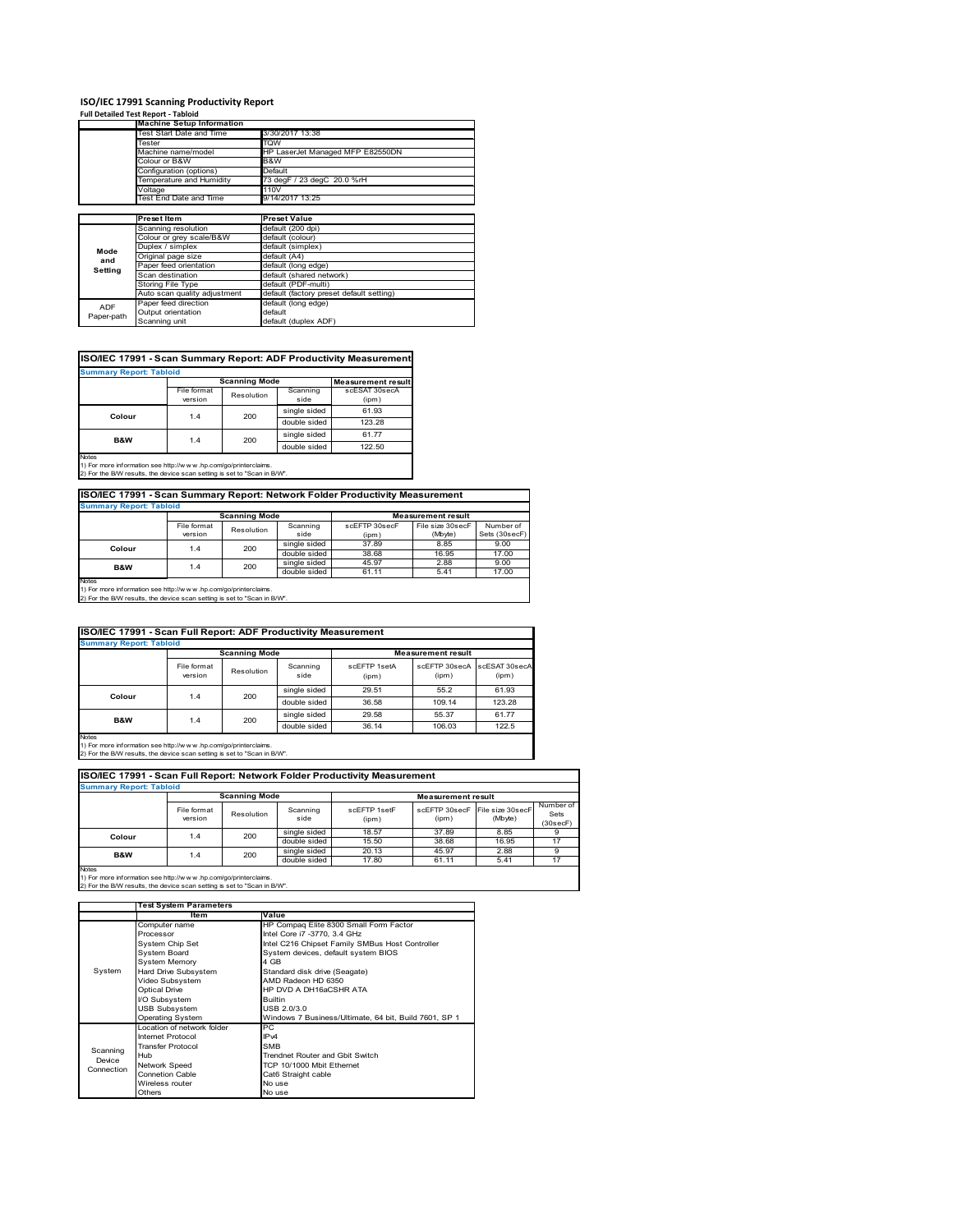### **ISO/IEC 17991 Scanning Productivity Report**

|            | <b>Full Detailed Test Report - Tabloid</b>              |                                          |  |  |
|------------|---------------------------------------------------------|------------------------------------------|--|--|
|            | <b>Machine Setup Information</b>                        |                                          |  |  |
|            | Test Start Date and Time                                | 3/30/2017 13:38                          |  |  |
|            | Tester                                                  | <b>TQW</b>                               |  |  |
|            | Machine name/model                                      | HP LaserJet Managed MFP E82550DN         |  |  |
|            | Colour or B&W                                           | B&W                                      |  |  |
|            | Configuration (options)                                 | Default                                  |  |  |
|            | Temperature and Humidity                                | 73 degF / 23 degC 20.0 %rH               |  |  |
|            | Voltage                                                 | 110V                                     |  |  |
|            | Test End Date and Time                                  | 9/14/2017 13:25                          |  |  |
|            |                                                         |                                          |  |  |
|            | <b>Preset Item</b>                                      | <b>Preset Value</b>                      |  |  |
|            | Scanning resolution                                     | default (200 dpi)                        |  |  |
|            | Colour or grey scale/B&W                                | default (colour)                         |  |  |
| Mode       | Duplex / simplex                                        | default (simplex)                        |  |  |
| and        | Original page size                                      | default (A4)                             |  |  |
|            | Paper feed orientation                                  | default (long edge)                      |  |  |
| Setting    | Scan destination                                        | default (shared network)                 |  |  |
|            | Storing File Type                                       | default (PDF-multi)                      |  |  |
|            | Auto scan quality adjustment                            | default (factory preset default setting) |  |  |
| ADF        | Paper feed direction                                    | default (long edge)                      |  |  |
|            | Output orientation                                      | default                                  |  |  |
| Paper-path | Orange and the contract of the first state of the first |                                          |  |  |

### **ISO/IEC 17991 - Scan Summary Report: ADF Productivity Measurement**

| <b>Summary Report: Tabloid</b> |                        |                           |                  |                        |  |  |
|--------------------------------|------------------------|---------------------------|------------------|------------------------|--|--|
|                                | <b>Scanning Mode</b>   | <b>Measurement result</b> |                  |                        |  |  |
|                                | File format<br>version | Resolution                | Scanning<br>side | scESAT 30secA<br>(ipm) |  |  |
|                                | 1.4                    |                           | single sided     | 61.93                  |  |  |
| Colour                         |                        | 200                       | double sided     | 123.28                 |  |  |
| <b>B&amp;W</b>                 | 1.4                    | 200                       | single sided     | 61.77                  |  |  |
|                                |                        |                           | double sided     | 122.50                 |  |  |
| Notes                          |                        |                           |                  |                        |  |  |

Notes 1) For more information see http://w w w .hp.com/go/printerclaims. 2) For the B/W results, the device scan setting is set to "Scan in B/W".

### **ISO/IEC 17991 - Scan Summary Report: Network Folder Productivity Measurement**

default (duplex ADF)

| <b>Summary Report: Tabloid</b> |                      |            |              |                           |                  |               |  |
|--------------------------------|----------------------|------------|--------------|---------------------------|------------------|---------------|--|
|                                | <b>Scanning Mode</b> |            |              | <b>Measurement result</b> |                  |               |  |
|                                | File format          | Resolution | Scanning     | scEFTP 30secF             | File size 30secF | Number of     |  |
|                                | version              |            | side         | (ipm)                     | (Mbyte)          | Sets (30secF) |  |
| Colour                         | 1.4                  | 200        | single sided | 37.89                     | 8.85             | 9.00          |  |
|                                |                      |            | double sided | 38.68                     | 16.95            | 17.00         |  |
| B&W                            | 1.4                  | 200        | single sided | 45.97                     | 2.88             | 9.00          |  |
|                                |                      |            | double sided | 61.11                     | 5.41             | 17.00         |  |
| Notes                          |                      |            |              |                           |                  |               |  |

Notes 1) For more information see http://w w w .hp.com/go/printerclaims. 2) For the B/W results, the device scan setting is set to "Scan in B/W".

| ISO/IEC 17991 - Scan Full Report: ADF Productivity Measurement |                        |            |                  |                       |                                      |        |  |  |
|----------------------------------------------------------------|------------------------|------------|------------------|-----------------------|--------------------------------------|--------|--|--|
| <b>Summary Report: Tabloid</b>                                 |                        |            |                  |                       |                                      |        |  |  |
|                                                                | <b>Scanning Mode</b>   |            |                  |                       | <b>Measurement result</b>            |        |  |  |
|                                                                | File format<br>version | Resolution | Scanning<br>side | scFFTP 1setA<br>(ipm) | scEFTP 30secA scESAT 30secA<br>(ipm) | (ipm)  |  |  |
| Colour                                                         | 1.4                    | 200        | single sided     | 29.51                 | 55.2                                 | 61.93  |  |  |
|                                                                |                        |            | double sided     | 36.58                 | 109.14                               | 123.28 |  |  |
| B&W                                                            | 1.4                    | 200        | single sided     | 29.58                 | 55.37                                | 61.77  |  |  |
|                                                                |                        |            | double sided     | 36.14                 | 106.03                               | 122.5  |  |  |
| Notes                                                          |                        |            |                  |                       |                                      |        |  |  |

Notes 1) For more information see http://w w w .hp.com/go/printerclaims. 2) For the B/W results, the device scan setting is set to "Scan in B/W".

| ISO/IEC 17991 - Scan Full Report: Network Folder Productivity Measurement |                        |            |                  |                       |                           |                              |                               |  |
|---------------------------------------------------------------------------|------------------------|------------|------------------|-----------------------|---------------------------|------------------------------|-------------------------------|--|
| <b>Summary Report: Tabloid</b>                                            |                        |            |                  |                       |                           |                              |                               |  |
| <b>Scanning Mode</b>                                                      |                        |            |                  |                       | <b>Measurement result</b> |                              |                               |  |
|                                                                           | File format<br>version | Resolution | Scanning<br>side | scFFTP 1setF<br>(ipm) | scEFTP 30secF<br>(ipm)    | File size 30 secF<br>(Mbyte) | Number of<br>Sets<br>(30secF) |  |
| Colour                                                                    |                        | 200<br>1.4 | single sided     | 18.57                 | 37.89                     | 8.85                         |                               |  |
|                                                                           |                        |            | double sided     | 15.50                 | 38.68                     | 16.95                        | 17                            |  |
| <b>B&amp;W</b>                                                            | 1.4                    | 200        | single sided     | 20.13                 | 45.97                     | 2.88                         | 9                             |  |
|                                                                           |                        |            | double sided     | 17.80                 | 61.11                     | 5.41                         | 17                            |  |
| <b>Notes</b>                                                              |                        |            |                  |                       |                           |                              |                               |  |

|            | <b>Test System Parameters</b> |                                                       |  |  |
|------------|-------------------------------|-------------------------------------------------------|--|--|
|            | <b>Item</b>                   | Value                                                 |  |  |
|            | Computer name                 | HP Compaq Elite 8300 Small Form Factor                |  |  |
|            | Processor                     | Intel Core i7 -3770, 3.4 GHz                          |  |  |
|            | System Chip Set               | Intel C216 Chipset Family SMBus Host Controller       |  |  |
|            | <b>System Board</b>           | System devices, default system BIOS                   |  |  |
|            | <b>System Memory</b>          | 4 GB                                                  |  |  |
| System     | Hard Drive Subsystem          | Standard disk drive (Seagate)                         |  |  |
|            | Video Subsystem               | AMD Radeon HD 6350                                    |  |  |
|            | Optical Drive                 | HP DVD A DH16aCSHR ATA                                |  |  |
|            | I/O Subsystem                 | <b>Builtin</b>                                        |  |  |
|            | <b>USB Subsystem</b>          | USB 2.0/3.0                                           |  |  |
|            | <b>Operating System</b>       | Windows 7 Business/Ultimate, 64 bit, Build 7601, SP 1 |  |  |
|            | Location of network folder    | РC                                                    |  |  |
|            | Internet Protocol             | IP <sub>v4</sub>                                      |  |  |
| Scanning   | <b>Transfer Protocol</b>      | <b>SMB</b>                                            |  |  |
| Device     | Hub                           | Trendnet Router and Gbit Switch                       |  |  |
| Connection | Network Speed                 | TCP 10/1000 Mbit Ethernet                             |  |  |
|            | <b>Connetion Cable</b>        | Cat6 Straight cable                                   |  |  |
|            | Wireless router               | No use                                                |  |  |
|            | Others                        | No use                                                |  |  |